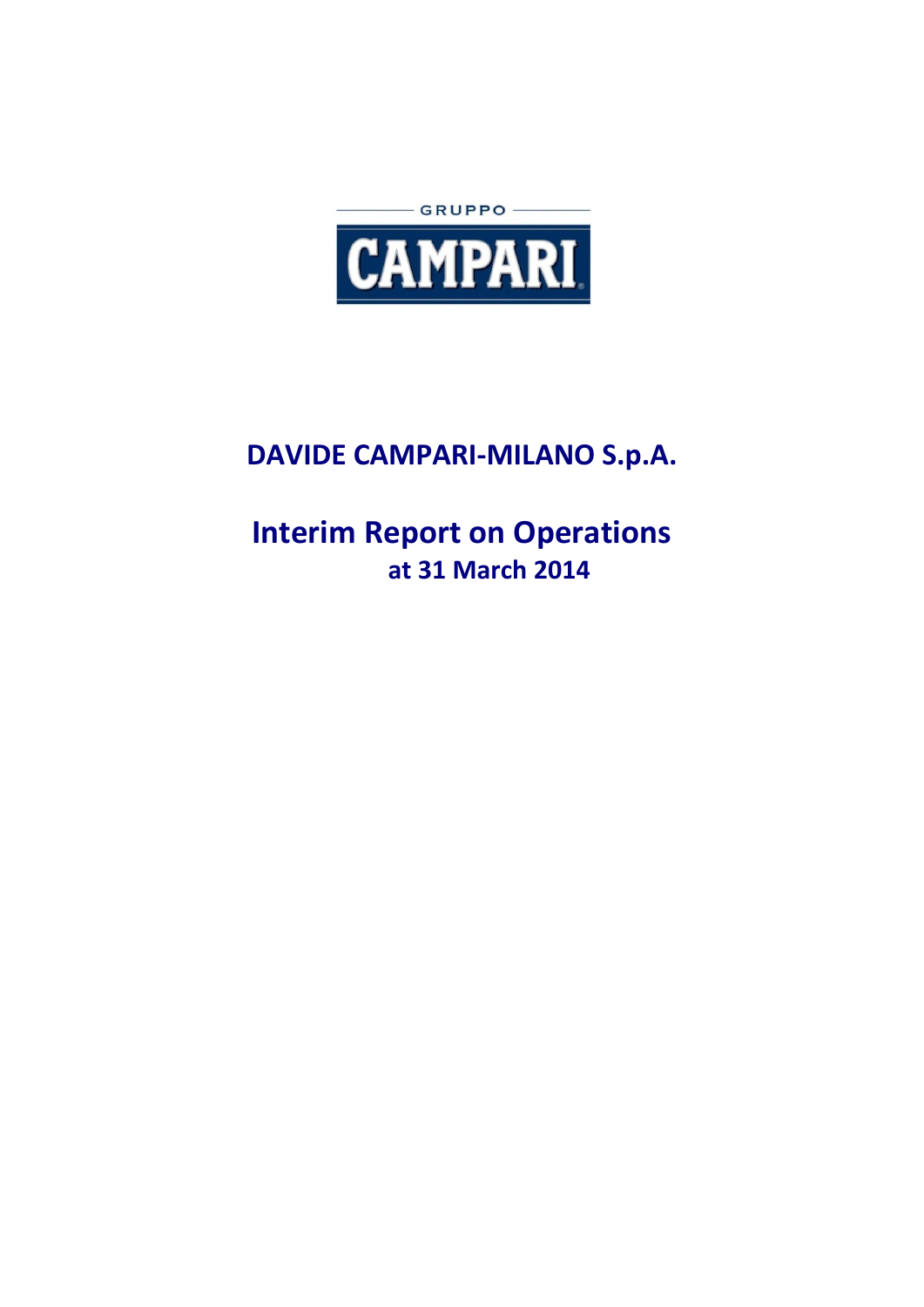

# **DAVIDE CAMPARI-MILANO S.p.A.**

# **Interim Report on Operations at 31 March 2014**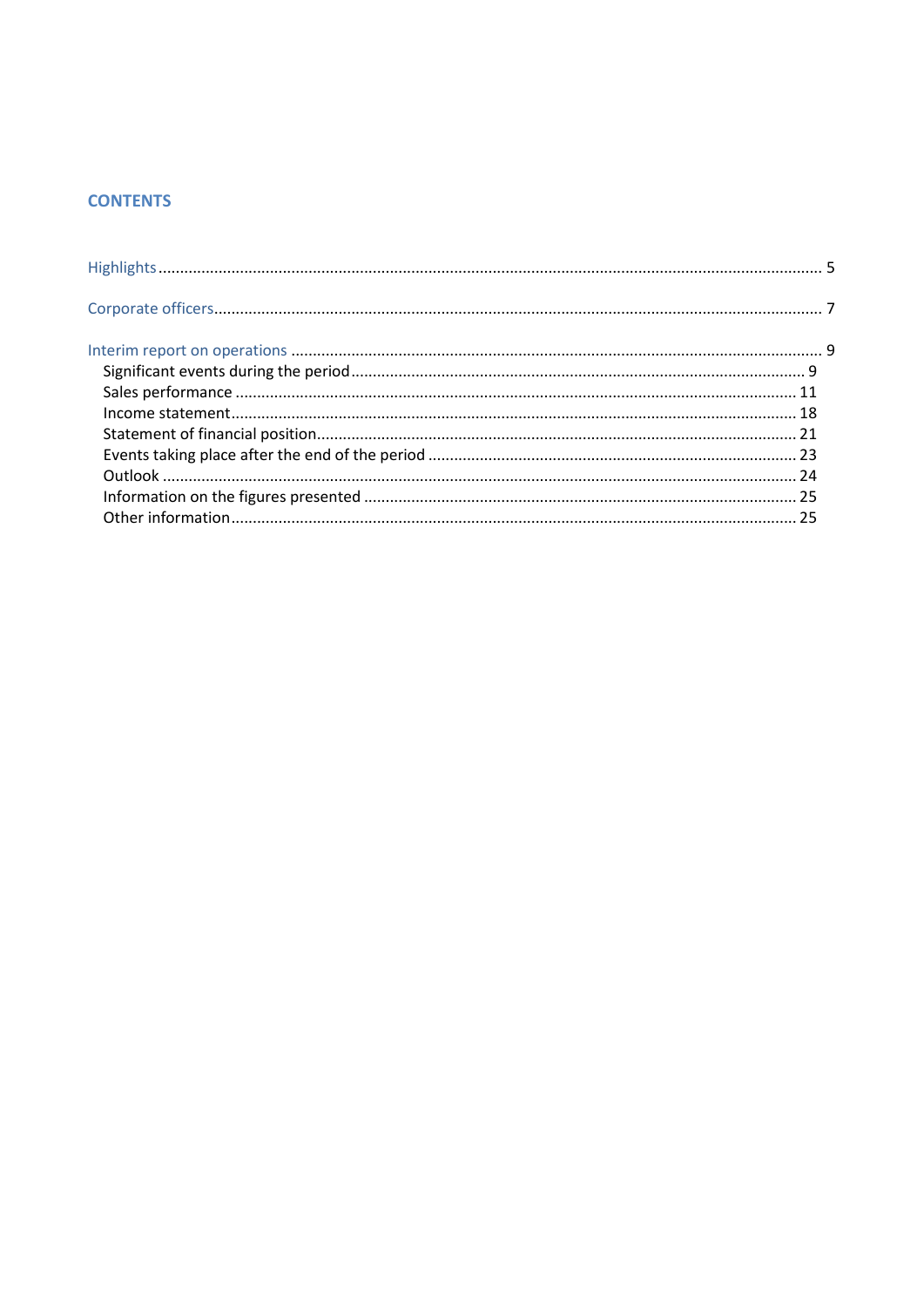# **CONTENTS**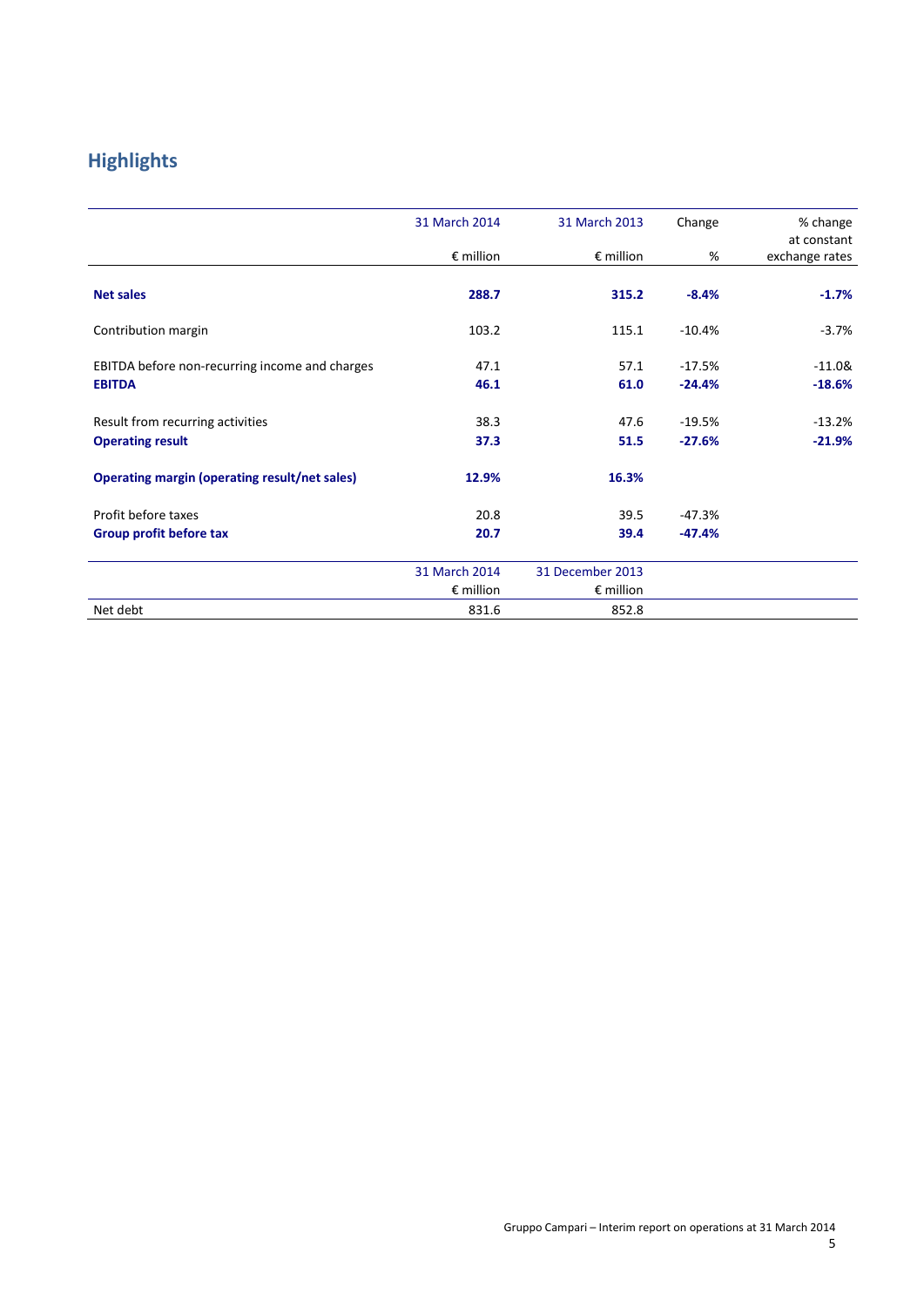# **Highlights**

|                                                      | 31 March 2014<br>$\epsilon$ million | 31 March 2013<br>$\epsilon$ million | Change<br>% | % change<br>at constant<br>exchange rates |
|------------------------------------------------------|-------------------------------------|-------------------------------------|-------------|-------------------------------------------|
|                                                      |                                     |                                     |             |                                           |
| <b>Net sales</b>                                     | 288.7                               | 315.2                               | $-8.4%$     | $-1.7%$                                   |
| Contribution margin                                  | 103.2                               | 115.1                               | $-10.4%$    | $-3.7%$                                   |
| EBITDA before non-recurring income and charges       | 47.1                                | 57.1                                | $-17.5%$    | $-11.08$                                  |
| <b>EBITDA</b>                                        | 46.1                                | 61.0                                | $-24.4%$    | $-18.6%$                                  |
| Result from recurring activities                     | 38.3                                | 47.6                                | $-19.5%$    | $-13.2%$                                  |
| <b>Operating result</b>                              | 37.3                                | 51.5                                | $-27.6%$    | $-21.9%$                                  |
| <b>Operating margin (operating result/net sales)</b> | 12.9%                               | 16.3%                               |             |                                           |
| Profit before taxes                                  | 20.8                                | 39.5                                | $-47.3%$    |                                           |
| Group profit before tax                              | 20.7                                | 39.4                                | $-47.4%$    |                                           |
|                                                      | 31 March 2014                       | 31 December 2013                    |             |                                           |
|                                                      | $\epsilon$ million                  | $\epsilon$ million                  |             |                                           |
| Net debt                                             | 831.6                               | 852.8                               |             |                                           |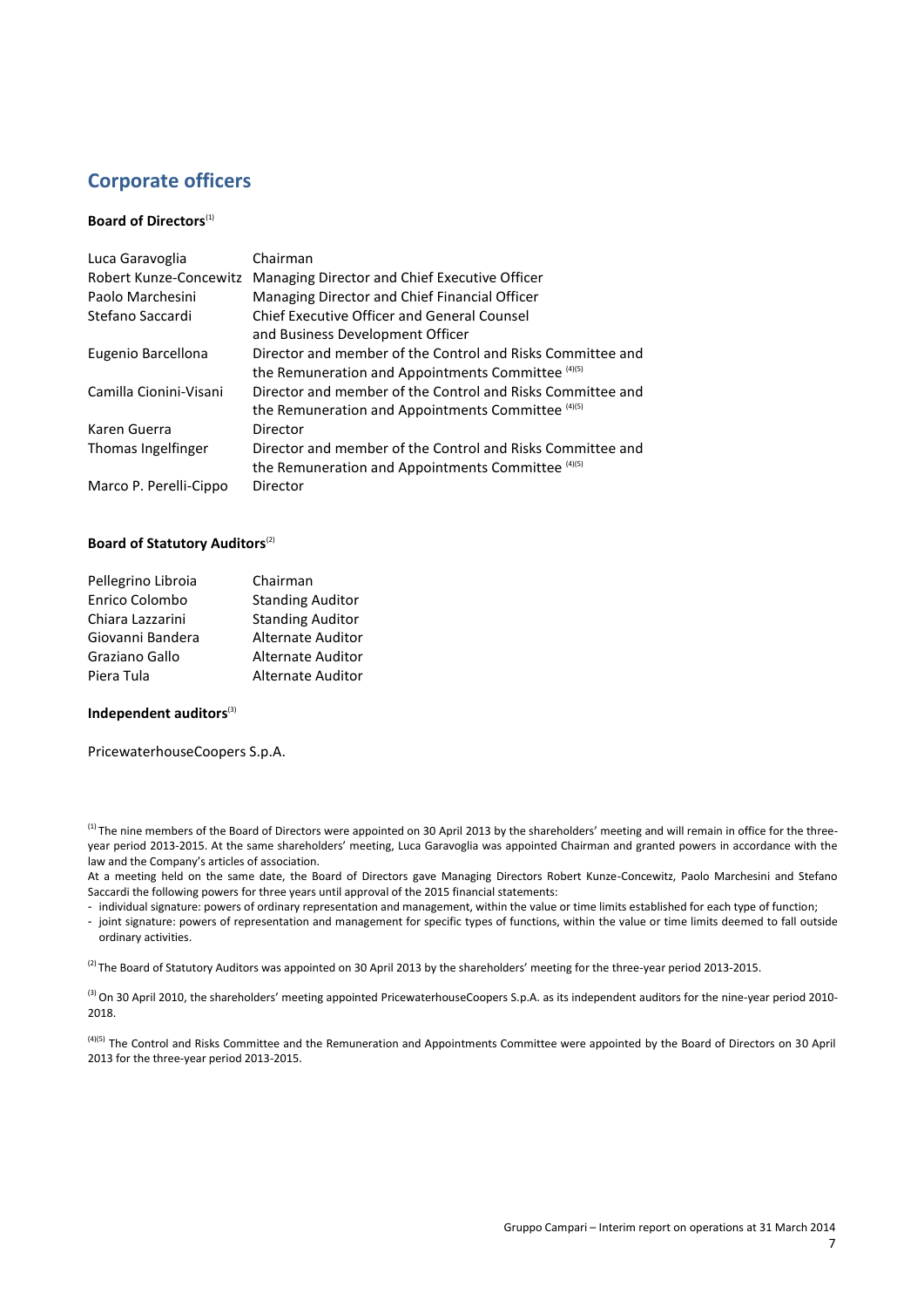# **Corporate officers**

#### **Board of Directors**<sup>(1)</sup>

| Luca Garavoglia        | Chairman                                                   |
|------------------------|------------------------------------------------------------|
| Robert Kunze-Concewitz | Managing Director and Chief Executive Officer              |
| Paolo Marchesini       | Managing Director and Chief Financial Officer              |
| Stefano Saccardi       | <b>Chief Executive Officer and General Counsel</b>         |
|                        | and Business Development Officer                           |
| Eugenio Barcellona     | Director and member of the Control and Risks Committee and |
|                        | the Remuneration and Appointments Committee (4)(5)         |
| Camilla Cionini-Visani | Director and member of the Control and Risks Committee and |
|                        | the Remuneration and Appointments Committee (4)(5)         |
| Karen Guerra           | Director                                                   |
| Thomas Ingelfinger     | Director and member of the Control and Risks Committee and |
|                        | the Remuneration and Appointments Committee (4)(5)         |
| Marco P. Perelli-Cippo | Director                                                   |

#### **Board of Statutory Auditors**(2)

| Pellegrino Libroia | Chairman                 |
|--------------------|--------------------------|
| Enrico Colombo     | <b>Standing Auditor</b>  |
| Chiara Lazzarini   | <b>Standing Auditor</b>  |
| Giovanni Bandera   | <b>Alternate Auditor</b> |
| Graziano Gallo     | <b>Alternate Auditor</b> |
| Piera Tula         | <b>Alternate Auditor</b> |

#### **Independent auditors**(3)

PricewaterhouseCoopers S.p.A.

<sup>(1)</sup> The nine members of the Board of Directors were appointed on 30 April 2013 by the shareholders' meeting and will remain in office for the threeyear period 2013-2015. At the same shareholders' meeting, Luca Garavoglia was appointed Chairman and granted powers in accordance with the law and the Company's articles of association.

At a meeting held on the same date, the Board of Directors gave Managing Directors Robert Kunze-Concewitz, Paolo Marchesini and Stefano Saccardi the following powers for three years until approval of the 2015 financial statements:

- individual signature: powers of ordinary representation and management, within the value or time limits established for each type of function;
- joint signature: powers of representation and management for specific types of functions, within the value or time limits deemed to fall outside ordinary activities.

 $^{(2)}$  The Board of Statutory Auditors was appointed on 30 April 2013 by the shareholders' meeting for the three-year period 2013-2015.

<sup>(3)</sup> On 30 April 2010, the shareholders' meeting appointed PricewaterhouseCoopers S.p.A. as its independent auditors for the nine-year period 2010-2018.

<sup>(4)(5)</sup> The Control and Risks Committee and the Remuneration and Appointments Committee were appointed by the Board of Directors on 30 April 2013 for the three-year period 2013-2015.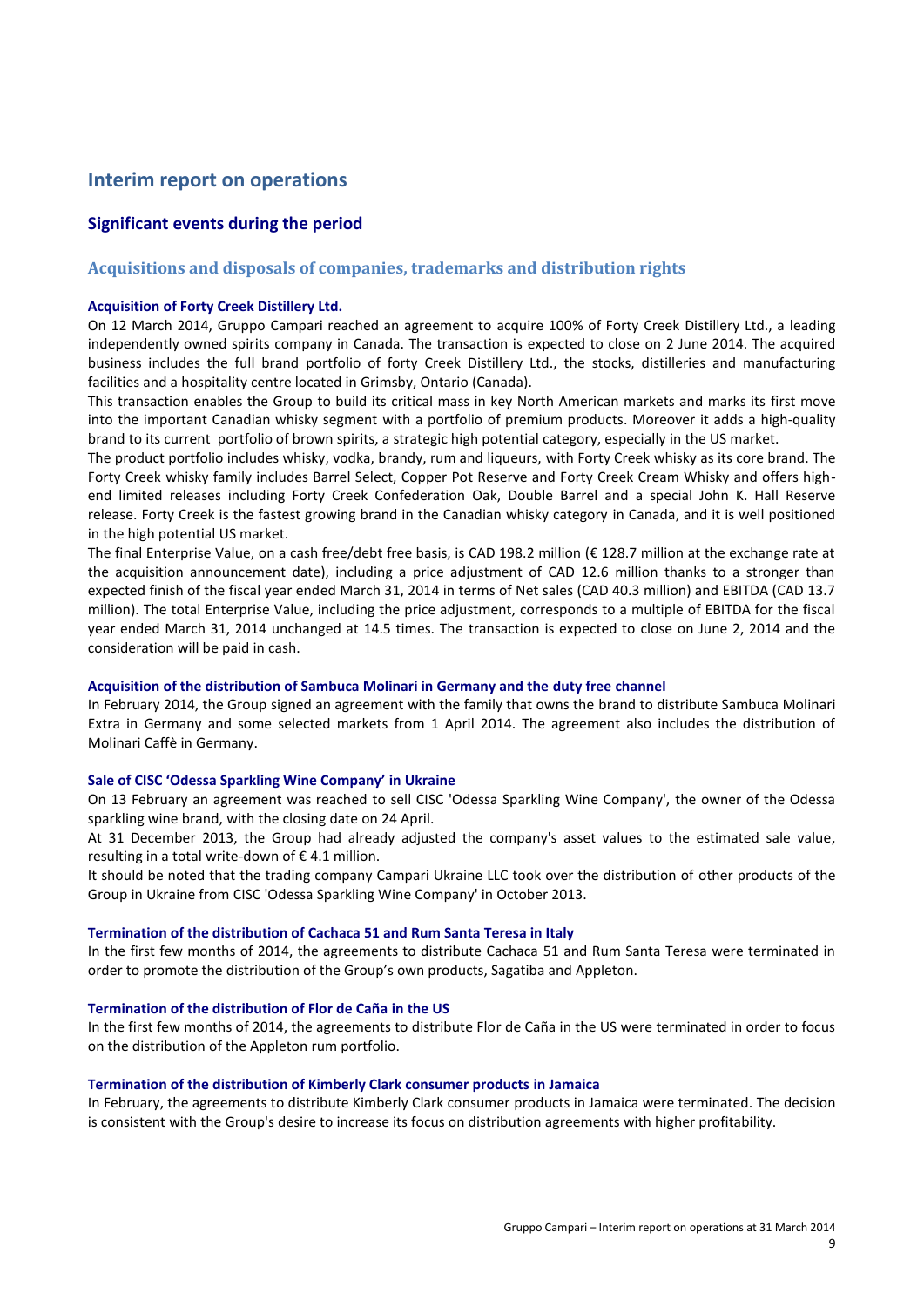# **Interim report on operations**

# **Significant events during the period**

## **Acquisitions and disposals of companies, trademarks and distribution rights**

#### **Acquisition of Forty Creek Distillery Ltd.**

On 12 March 2014, Gruppo Campari reached an agreement to acquire 100% of Forty Creek Distillery Ltd., a leading independently owned spirits company in Canada. The transaction is expected to close on 2 June 2014. The acquired business includes the full brand portfolio of forty Creek Distillery Ltd., the stocks, distilleries and manufacturing facilities and a hospitality centre located in Grimsby, Ontario (Canada).

This transaction enables the Group to build its critical mass in key North American markets and marks its first move into the important Canadian whisky segment with a portfolio of premium products. Moreover it adds a high-quality brand to its current portfolio of brown spirits, a strategic high potential category, especially in the US market.

The product portfolio includes whisky, vodka, brandy, rum and liqueurs, with Forty Creek whisky as its core brand. The Forty Creek whisky family includes Barrel Select, Copper Pot Reserve and Forty Creek Cream Whisky and offers highend limited releases including Forty Creek Confederation Oak, Double Barrel and a special John K. Hall Reserve release. Forty Creek is the fastest growing brand in the Canadian whisky category in Canada, and it is well positioned in the high potential US market.

The final Enterprise Value, on a cash free/debt free basis, is CAD 198.2 million (€ 128.7 million at the exchange rate at the acquisition announcement date), including a price adjustment of CAD 12.6 million thanks to a stronger than expected finish of the fiscal year ended March 31, 2014 in terms of Net sales (CAD 40.3 million) and EBITDA (CAD 13.7 million). The total Enterprise Value, including the price adjustment, corresponds to a multiple of EBITDA for the fiscal year ended March 31, 2014 unchanged at 14.5 times. The transaction is expected to close on June 2, 2014 and the consideration will be paid in cash.

#### **Acquisition of the distribution of Sambuca Molinari in Germany and the duty free channel**

In February 2014, the Group signed an agreement with the family that owns the brand to distribute Sambuca Molinari Extra in Germany and some selected markets from 1 April 2014. The agreement also includes the distribution of Molinari Caffè in Germany.

#### **Sale of CISC 'Odessa Sparkling Wine Company' in Ukraine**

On 13 February an agreement was reached to sell CISC 'Odessa Sparkling Wine Company', the owner of the Odessa sparkling wine brand, with the closing date on 24 April.

At 31 December 2013, the Group had already adjusted the company's asset values to the estimated sale value, resulting in a total write-down of € 4.1 million.

It should be noted that the trading company Campari Ukraine LLC took over the distribution of other products of the Group in Ukraine from CISC 'Odessa Sparkling Wine Company' in October 2013.

#### **Termination of the distribution of Cachaca 51 and Rum Santa Teresa in Italy**

In the first few months of 2014, the agreements to distribute Cachaca 51 and Rum Santa Teresa were terminated in order to promote the distribution of the Group's own products, Sagatiba and Appleton.

#### **Termination of the distribution of Flor de Caña in the US**

In the first few months of 2014, the agreements to distribute Flor de Caña in the US were terminated in order to focus on the distribution of the Appleton rum portfolio.

#### **Termination of the distribution of Kimberly Clark consumer products in Jamaica**

In February, the agreements to distribute Kimberly Clark consumer products in Jamaica were terminated. The decision is consistent with the Group's desire to increase its focus on distribution agreements with higher profitability.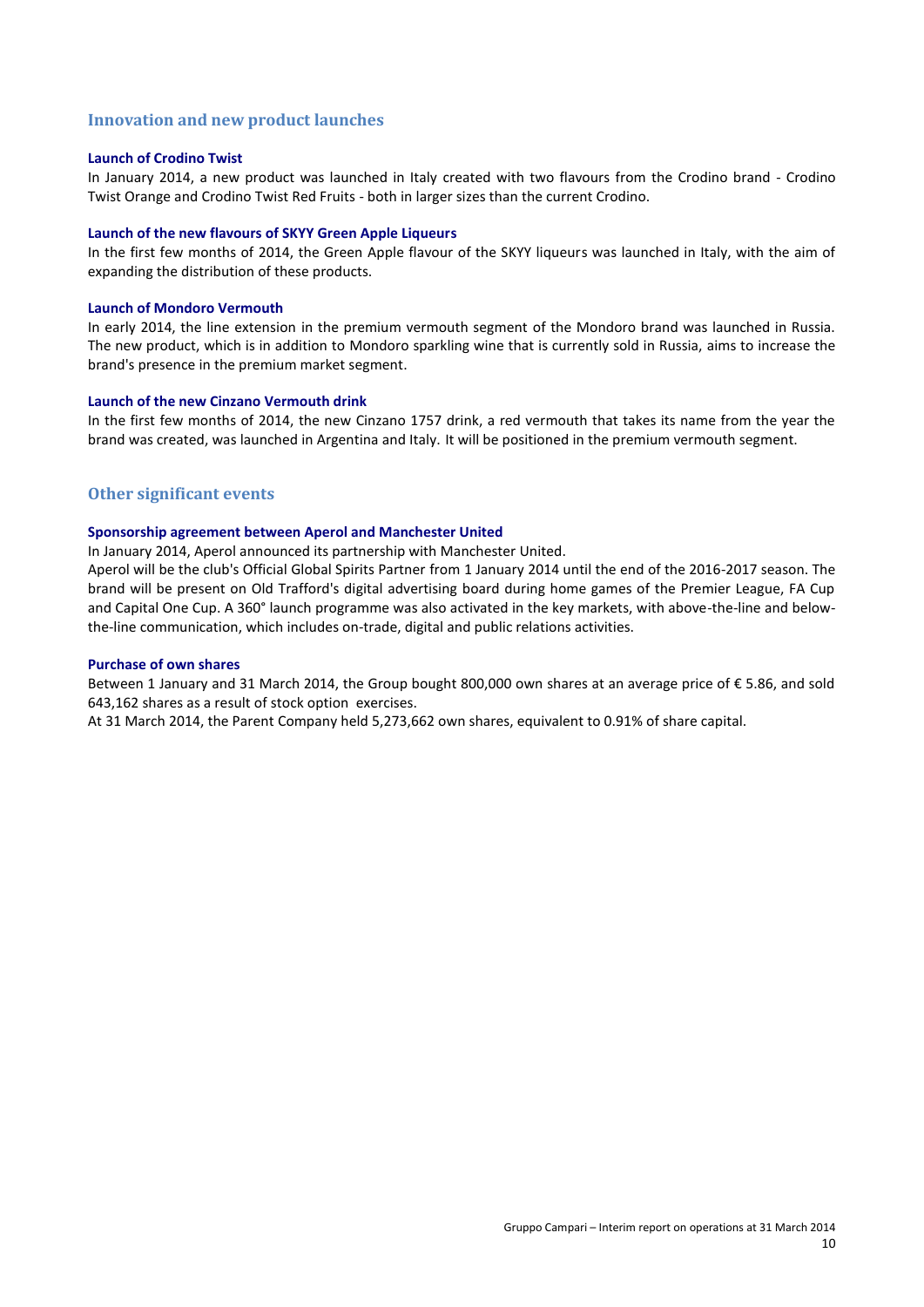#### **Innovation and new product launches**

#### **Launch of Crodino Twist**

In January 2014, a new product was launched in Italy created with two flavours from the Crodino brand - Crodino Twist Orange and Crodino Twist Red Fruits - both in larger sizes than the current Crodino.

#### **Launch of the new flavours of SKYY Green Apple Liqueurs**

In the first few months of 2014, the Green Apple flavour of the SKYY liqueurs was launched in Italy, with the aim of expanding the distribution of these products.

#### **Launch of Mondoro Vermouth**

In early 2014, the line extension in the premium vermouth segment of the Mondoro brand was launched in Russia. The new product, which is in addition to Mondoro sparkling wine that is currently sold in Russia, aims to increase the brand's presence in the premium market segment.

#### **Launch of the new Cinzano Vermouth drink**

In the first few months of 2014, the new Cinzano 1757 drink, a red vermouth that takes its name from the year the brand was created, was launched in Argentina and Italy. It will be positioned in the premium vermouth segment.

#### **Other significant events**

#### **Sponsorship agreement between Aperol and Manchester United**

In January 2014, Aperol announced its partnership with Manchester United.

Aperol will be the club's Official Global Spirits Partner from 1 January 2014 until the end of the 2016-2017 season. The brand will be present on Old Trafford's digital advertising board during home games of the Premier League, FA Cup and Capital One Cup. A 360° launch programme was also activated in the key markets, with above-the-line and belowthe-line communication, which includes on-trade, digital and public relations activities.

#### **Purchase of own shares**

Between 1 January and 31 March 2014, the Group bought 800,000 own shares at an average price of € 5.86, and sold 643,162 shares as a result of stock option exercises.

At 31 March 2014, the Parent Company held 5,273,662 own shares, equivalent to 0.91% of share capital.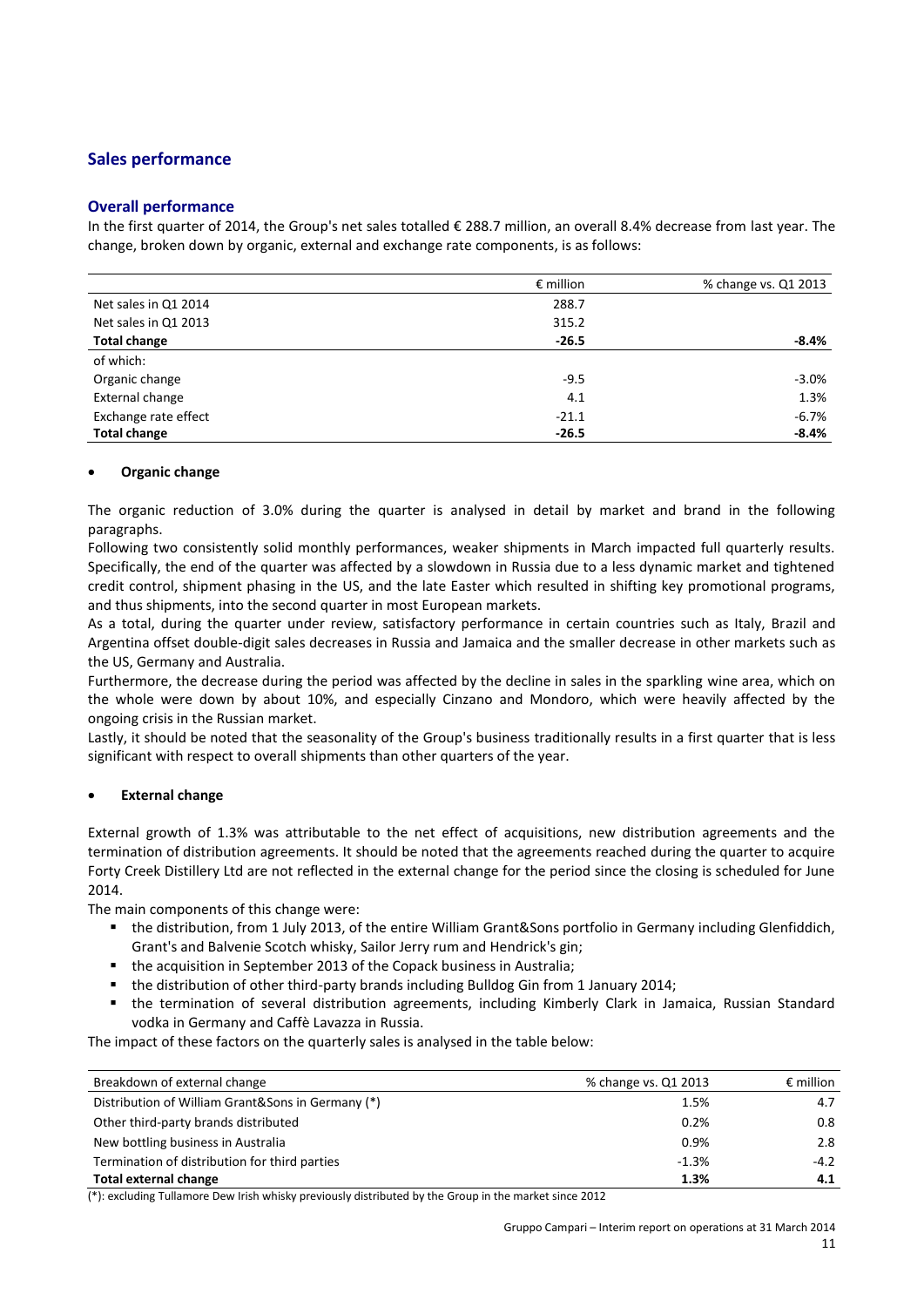# **Sales performance**

#### **Overall performance**

In the first quarter of 2014, the Group's net sales totalled € 288.7 million, an overall 8.4% decrease from last year. The change, broken down by organic, external and exchange rate components, is as follows:

|                      | $\epsilon$ million | % change vs. Q1 2013 |
|----------------------|--------------------|----------------------|
| Net sales in Q1 2014 | 288.7              |                      |
| Net sales in Q1 2013 | 315.2              |                      |
| <b>Total change</b>  | $-26.5$            | $-8.4%$              |
| of which:            |                    |                      |
| Organic change       | $-9.5$             | $-3.0%$              |
| External change      | 4.1                | 1.3%                 |
| Exchange rate effect | $-21.1$            | $-6.7%$              |
| <b>Total change</b>  | $-26.5$            | $-8.4%$              |

#### **Organic change**

The organic reduction of 3.0% during the quarter is analysed in detail by market and brand in the following paragraphs.

Following two consistently solid monthly performances, weaker shipments in March impacted full quarterly results. Specifically, the end of the quarter was affected by a slowdown in Russia due to a less dynamic market and tightened credit control, shipment phasing in the US, and the late Easter which resulted in shifting key promotional programs, and thus shipments, into the second quarter in most European markets.

As a total, during the quarter under review, satisfactory performance in certain countries such as Italy, Brazil and Argentina offset double-digit sales decreases in Russia and Jamaica and the smaller decrease in other markets such as the US, Germany and Australia.

Furthermore, the decrease during the period was affected by the decline in sales in the sparkling wine area, which on the whole were down by about 10%, and especially Cinzano and Mondoro, which were heavily affected by the ongoing crisis in the Russian market.

Lastly, it should be noted that the seasonality of the Group's business traditionally results in a first quarter that is less significant with respect to overall shipments than other quarters of the year.

#### **External change**

External growth of 1.3% was attributable to the net effect of acquisitions, new distribution agreements and the termination of distribution agreements. It should be noted that the agreements reached during the quarter to acquire Forty Creek Distillery Ltd are not reflected in the external change for the period since the closing is scheduled for June 2014.

The main components of this change were:

- the distribution, from 1 July 2013, of the entire William Grant&Sons portfolio in Germany including Glenfiddich, Grant's and Balvenie Scotch whisky, Sailor Jerry rum and Hendrick's gin;
- the acquisition in September 2013 of the Copack business in Australia;
- the distribution of other third-party brands including Bulldog Gin from 1 January 2014;
- the termination of several distribution agreements, including Kimberly Clark in Jamaica, Russian Standard vodka in Germany and Caffè Lavazza in Russia.

The impact of these factors on the quarterly sales is analysed in the table below:

| Breakdown of external change                      | % change vs. Q1 2013 | $\epsilon$ million |
|---------------------------------------------------|----------------------|--------------------|
| Distribution of William Grant&Sons in Germany (*) | 1.5%                 | 4.7                |
| Other third-party brands distributed              | 0.2%                 | 0.8                |
| New bottling business in Australia                | 0.9%                 | 2.8                |
| Termination of distribution for third parties     | $-1.3%$              | $-4.2$             |
| <b>Total external change</b>                      | 1.3%                 | 4.1                |

(\*): excluding Tullamore Dew Irish whisky previously distributed by the Group in the market since 2012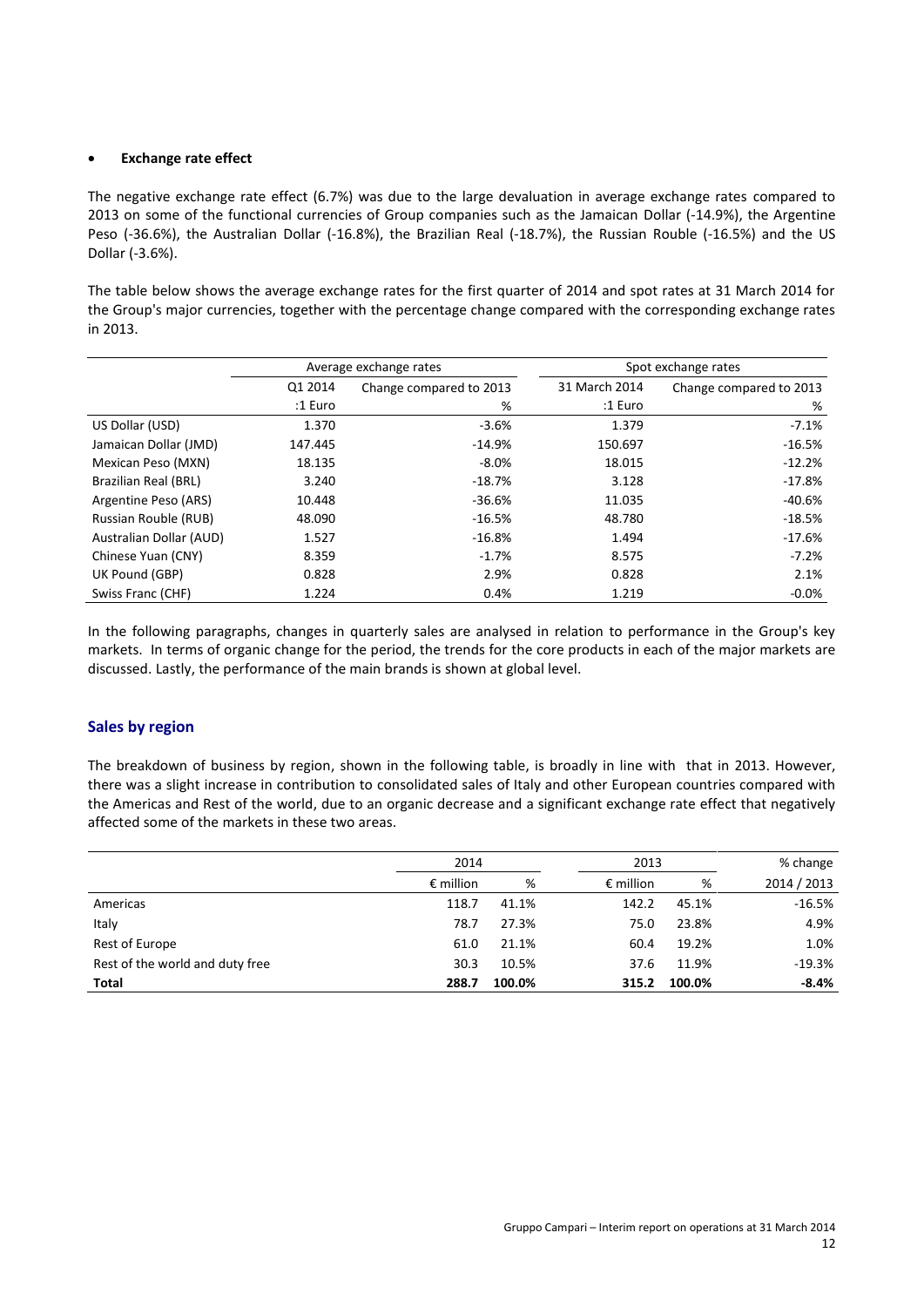#### **Exchange rate effect**

The negative exchange rate effect (6.7%) was due to the large devaluation in average exchange rates compared to 2013 on some of the functional currencies of Group companies such as the Jamaican Dollar (-14.9%), the Argentine Peso (-36.6%), the Australian Dollar (-16.8%), the Brazilian Real (-18.7%), the Russian Rouble (-16.5%) and the US Dollar (-3.6%).

The table below shows the average exchange rates for the first quarter of 2014 and spot rates at 31 March 2014 for the Group's major currencies, together with the percentage change compared with the corresponding exchange rates in 2013.

|                             | Average exchange rates |                         |               | Spot exchange rates     |
|-----------------------------|------------------------|-------------------------|---------------|-------------------------|
|                             | Q1 2014                | Change compared to 2013 | 31 March 2014 | Change compared to 2013 |
|                             | :1 Euro                | %                       | :1 Euro       | %                       |
| US Dollar (USD)             | 1.370                  | $-3.6%$                 | 1.379         | $-7.1%$                 |
| Jamaican Dollar (JMD)       | 147.445                | $-14.9%$                | 150.697       | $-16.5%$                |
| Mexican Peso (MXN)          | 18.135                 | $-8.0\%$                | 18.015        | $-12.2%$                |
| Brazilian Real (BRL)        | 3.240                  | $-18.7%$                | 3.128         | $-17.8%$                |
| Argentine Peso (ARS)        | 10.448                 | $-36.6%$                | 11.035        | $-40.6%$                |
| <b>Russian Rouble (RUB)</b> | 48.090                 | $-16.5%$                | 48.780        | $-18.5%$                |
| Australian Dollar (AUD)     | 1.527                  | $-16.8%$                | 1.494         | $-17.6\%$               |
| Chinese Yuan (CNY)          | 8.359                  | $-1.7%$                 | 8.575         | $-7.2%$                 |
| UK Pound (GBP)              | 0.828                  | 2.9%                    | 0.828         | 2.1%                    |
| Swiss Franc (CHF)           | 1.224                  | 0.4%                    | 1.219         | $-0.0%$                 |

In the following paragraphs, changes in quarterly sales are analysed in relation to performance in the Group's key markets. In terms of organic change for the period, the trends for the core products in each of the major markets are discussed. Lastly, the performance of the main brands is shown at global level.

#### **Sales by region**

The breakdown of business by region, shown in the following table, is broadly in line with that in 2013. However, there was a slight increase in contribution to consolidated sales of Italy and other European countries compared with the Americas and Rest of the world, due to an organic decrease and a significant exchange rate effect that negatively affected some of the markets in these two areas.

|                                 | 2014               |        |                    | 2013   |             |  |
|---------------------------------|--------------------|--------|--------------------|--------|-------------|--|
|                                 | $\epsilon$ million | %      | $\epsilon$ million | %      | 2014 / 2013 |  |
| Americas                        | 118.7              | 41.1%  | 142.2              | 45.1%  | $-16.5%$    |  |
| Italy                           | 78.7               | 27.3%  | 75.0               | 23.8%  | 4.9%        |  |
| Rest of Europe                  | 61.0               | 21.1%  | 60.4               | 19.2%  | 1.0%        |  |
| Rest of the world and duty free | 30.3               | 10.5%  | 37.6               | 11.9%  | $-19.3%$    |  |
| Total                           | 288.7              | 100.0% | 315.2              | 100.0% | $-8.4%$     |  |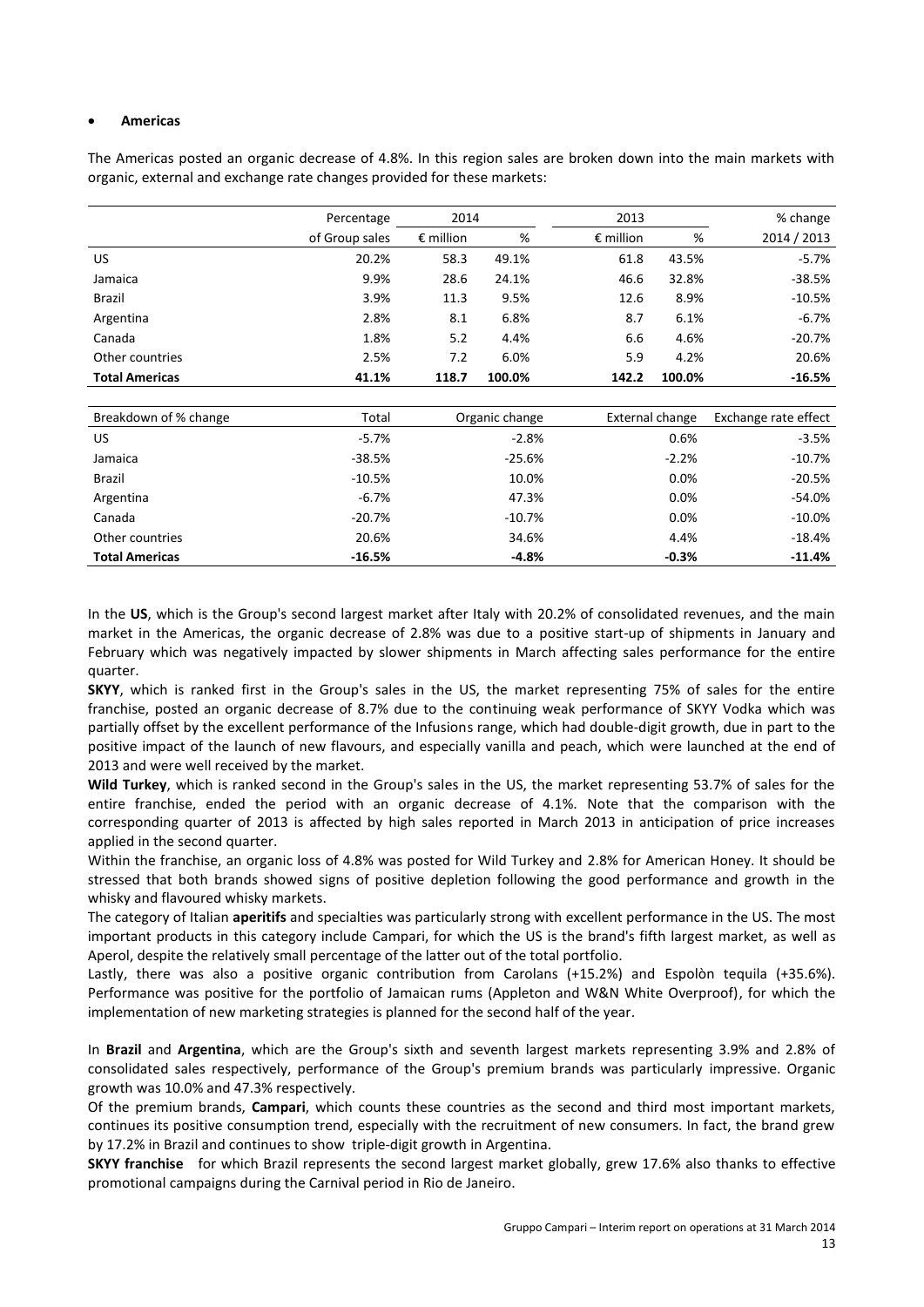#### **Americas**

The Americas posted an organic decrease of 4.8%. In this region sales are broken down into the main markets with organic, external and exchange rate changes provided for these markets:

|                       | Percentage     | 2014               |                | 2013               |                 | % change             |
|-----------------------|----------------|--------------------|----------------|--------------------|-----------------|----------------------|
|                       | of Group sales | $\epsilon$ million | %              | $\epsilon$ million | %               | 2014 / 2013          |
| US                    | 20.2%          | 58.3               | 49.1%          | 61.8               | 43.5%           | -5.7%                |
| Jamaica               | 9.9%           | 28.6               | 24.1%          | 46.6               | 32.8%           | $-38.5%$             |
| Brazil                | 3.9%           | 11.3               | 9.5%           | 12.6               | 8.9%            | $-10.5%$             |
| Argentina             | 2.8%           | 8.1                | 6.8%           | 8.7                | 6.1%            | $-6.7%$              |
| Canada                | 1.8%           | 5.2                | 4.4%           | 6.6                | 4.6%            | $-20.7%$             |
| Other countries       | 2.5%           | 7.2                | 6.0%           | 5.9                | 4.2%            | 20.6%                |
| <b>Total Americas</b> | 41.1%          | 118.7              | 100.0%         | 142.2              | 100.0%          | $-16.5%$             |
|                       |                |                    |                |                    |                 |                      |
| Breakdown of % change | Total          |                    | Organic change |                    | External change | Exchange rate effect |
| US.                   | $-5.7\%$       |                    | $-2.8%$        |                    | 0.6%            | $-3.5%$              |
| Jamaica               | -38.5%         |                    | $-25.6%$       |                    | $-2.2%$         | $-10.7%$             |
| Brazil                | $-10.5%$       |                    | 10.0%          |                    | 0.0%            | $-20.5%$             |
| Argentina             | $-6.7%$        |                    | 47.3%          |                    | 0.0%            | $-54.0%$             |
| Canada                | $-20.7%$       |                    | $-10.7%$       |                    | 0.0%            | $-10.0%$             |
| Other countries       | 20.6%          |                    | 34.6%          |                    | 4.4%            | $-18.4\%$            |
| <b>Total Americas</b> | $-16.5%$       |                    | $-4.8%$        |                    | $-0.3%$         | $-11.4%$             |

In the **US**, which is the Group's second largest market after Italy with 20.2% of consolidated revenues, and the main market in the Americas, the organic decrease of 2.8% was due to a positive start-up of shipments in January and February which was negatively impacted by slower shipments in March affecting sales performance for the entire quarter.

**SKYY**, which is ranked first in the Group's sales in the US, the market representing 75% of sales for the entire franchise, posted an organic decrease of 8.7% due to the continuing weak performance of SKYY Vodka which was partially offset by the excellent performance of the Infusions range, which had double-digit growth, due in part to the positive impact of the launch of new flavours, and especially vanilla and peach, which were launched at the end of 2013 and were well received by the market.

**Wild Turkey**, which is ranked second in the Group's sales in the US, the market representing 53.7% of sales for the entire franchise, ended the period with an organic decrease of 4.1%. Note that the comparison with the corresponding quarter of 2013 is affected by high sales reported in March 2013 in anticipation of price increases applied in the second quarter.

Within the franchise, an organic loss of 4.8% was posted for Wild Turkey and 2.8% for American Honey. It should be stressed that both brands showed signs of positive depletion following the good performance and growth in the whisky and flavoured whisky markets.

The category of Italian **aperitifs** and specialties was particularly strong with excellent performance in the US. The most important products in this category include Campari, for which the US is the brand's fifth largest market, as well as Aperol, despite the relatively small percentage of the latter out of the total portfolio.

Lastly, there was also a positive organic contribution from Carolans (+15.2%) and Espolòn tequila (+35.6%). Performance was positive for the portfolio of Jamaican rums (Appleton and W&N White Overproof), for which the implementation of new marketing strategies is planned for the second half of the year.

In **Brazil** and **Argentina**, which are the Group's sixth and seventh largest markets representing 3.9% and 2.8% of consolidated sales respectively, performance of the Group's premium brands was particularly impressive. Organic growth was 10.0% and 47.3% respectively.

Of the premium brands, **Campari**, which counts these countries as the second and third most important markets, continues its positive consumption trend, especially with the recruitment of new consumers. In fact, the brand grew by 17.2% in Brazil and continues to show triple-digit growth in Argentina.

**SKYY franchise** for which Brazil represents the second largest market globally, grew 17.6% also thanks to effective promotional campaigns during the Carnival period in Rio de Janeiro.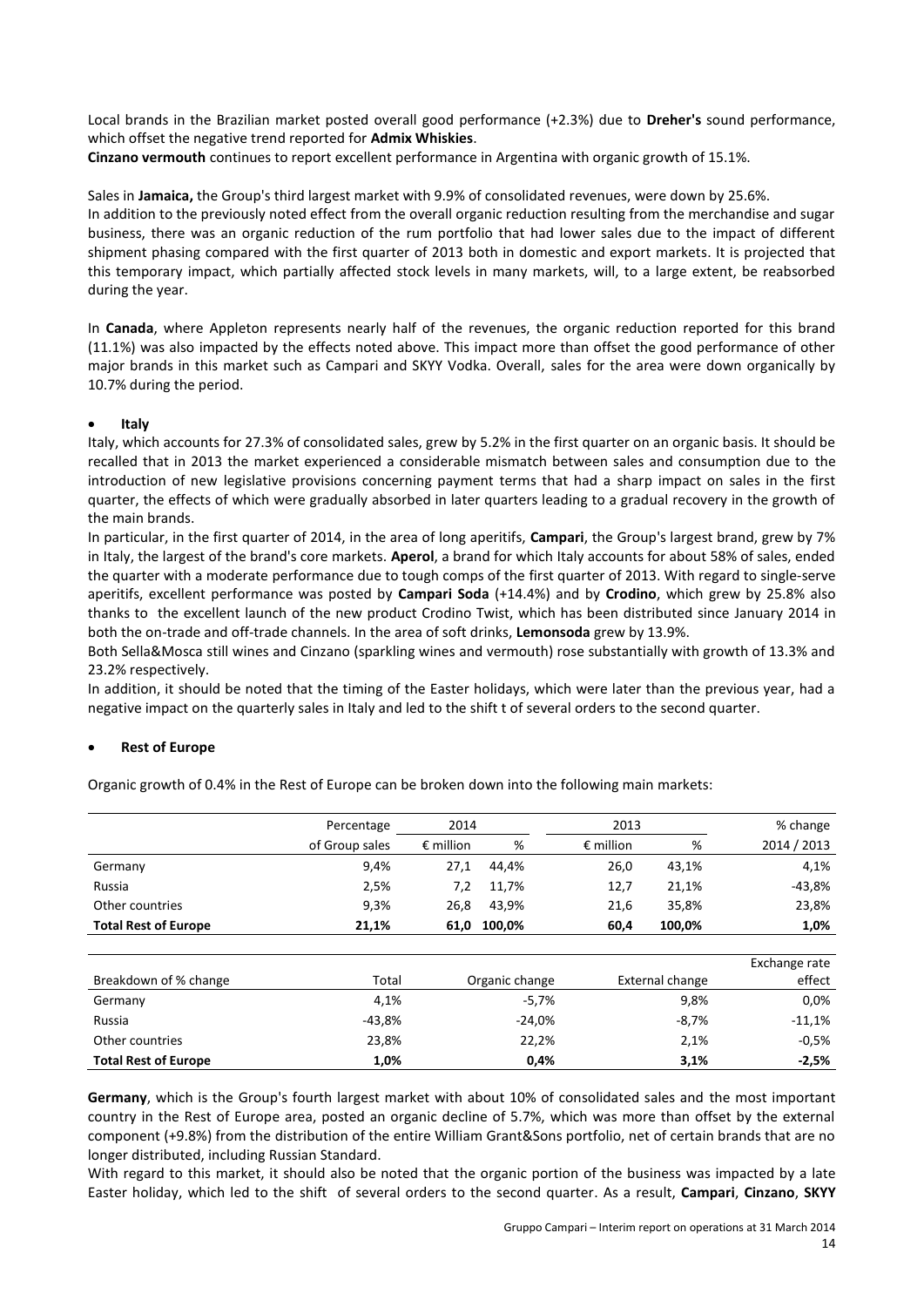Local brands in the Brazilian market posted overall good performance (+2.3%) due to **Dreher's** sound performance, which offset the negative trend reported for **Admix Whiskies**.

**Cinzano vermouth** continues to report excellent performance in Argentina with organic growth of 15.1%.

Sales in **Jamaica,** the Group's third largest market with 9.9% of consolidated revenues, were down by 25.6%. In addition to the previously noted effect from the overall organic reduction resulting from the merchandise and sugar business, there was an organic reduction of the rum portfolio that had lower sales due to the impact of different shipment phasing compared with the first quarter of 2013 both in domestic and export markets. It is projected that this temporary impact, which partially affected stock levels in many markets, will, to a large extent, be reabsorbed during the year.

In **Canada**, where Appleton represents nearly half of the revenues, the organic reduction reported for this brand (11.1%) was also impacted by the effects noted above. This impact more than offset the good performance of other major brands in this market such as Campari and SKYY Vodka. Overall, sales for the area were down organically by 10.7% during the period.

#### **Italy**

Italy, which accounts for 27.3% of consolidated sales, grew by 5.2% in the first quarter on an organic basis. It should be recalled that in 2013 the market experienced a considerable mismatch between sales and consumption due to the introduction of new legislative provisions concerning payment terms that had a sharp impact on sales in the first quarter, the effects of which were gradually absorbed in later quarters leading to a gradual recovery in the growth of the main brands.

In particular, in the first quarter of 2014, in the area of long aperitifs, **Campari**, the Group's largest brand, grew by 7% in Italy, the largest of the brand's core markets. **Aperol**, a brand for which Italy accounts for about 58% of sales, ended the quarter with a moderate performance due to tough comps of the first quarter of 2013. With regard to single-serve aperitifs, excellent performance was posted by **Campari Soda** (+14.4%) and by **Crodino**, which grew by 25.8% also thanks to the excellent launch of the new product Crodino Twist, which has been distributed since January 2014 in both the on-trade and off-trade channels. In the area of soft drinks, **Lemonsoda** grew by 13.9%.

Both Sella&Mosca still wines and Cinzano (sparkling wines and vermouth) rose substantially with growth of 13.3% and 23.2% respectively.

In addition, it should be noted that the timing of the Easter holidays, which were later than the previous year, had a negative impact on the quarterly sales in Italy and led to the shift t of several orders to the second quarter.

## **Rest of Europe**

|                             | Percentage     | 2014               |                | 2013               |                 | % change      |
|-----------------------------|----------------|--------------------|----------------|--------------------|-----------------|---------------|
|                             | of Group sales | $\epsilon$ million | %              | $\epsilon$ million | %               | 2014 / 2013   |
| Germany                     | 9,4%           | 27,1               | 44,4%          | 26,0               | 43,1%           | 4,1%          |
| Russia                      | 2,5%           | 7,2                | 11,7%          | 12,7               | 21,1%           | $-43,8%$      |
| Other countries             | 9,3%           | 26,8               | 43,9%          | 21,6               | 35,8%           | 23,8%         |
| <b>Total Rest of Europe</b> | 21,1%          | 61,0               | 100,0%         | 60,4               | 100,0%          | 1,0%          |
|                             |                |                    |                |                    |                 |               |
|                             |                |                    |                |                    |                 | Exchange rate |
| Breakdown of % change       | Total          |                    | Organic change |                    | External change | effect        |
| Germany                     | 4,1%           |                    | $-5,7%$        |                    | 9,8%            | 0.0%          |
| Russia                      | -43,8%         |                    | $-24,0%$       |                    | $-8,7%$         | $-11,1%$      |
| Other countries             | 23,8%          |                    | 22,2%          |                    | 2,1%            | $-0.5%$       |
| <b>Total Rest of Europe</b> | 1,0%           |                    | 0,4%           |                    | 3,1%            | $-2,5%$       |

Organic growth of 0.4% in the Rest of Europe can be broken down into the following main markets:

**Germany**, which is the Group's fourth largest market with about 10% of consolidated sales and the most important country in the Rest of Europe area, posted an organic decline of 5.7%, which was more than offset by the external component (+9.8%) from the distribution of the entire William Grant&Sons portfolio, net of certain brands that are no longer distributed, including Russian Standard.

With regard to this market, it should also be noted that the organic portion of the business was impacted by a late Easter holiday, which led to the shift of several orders to the second quarter. As a result, **Campari**, **Cinzano**, **SKYY**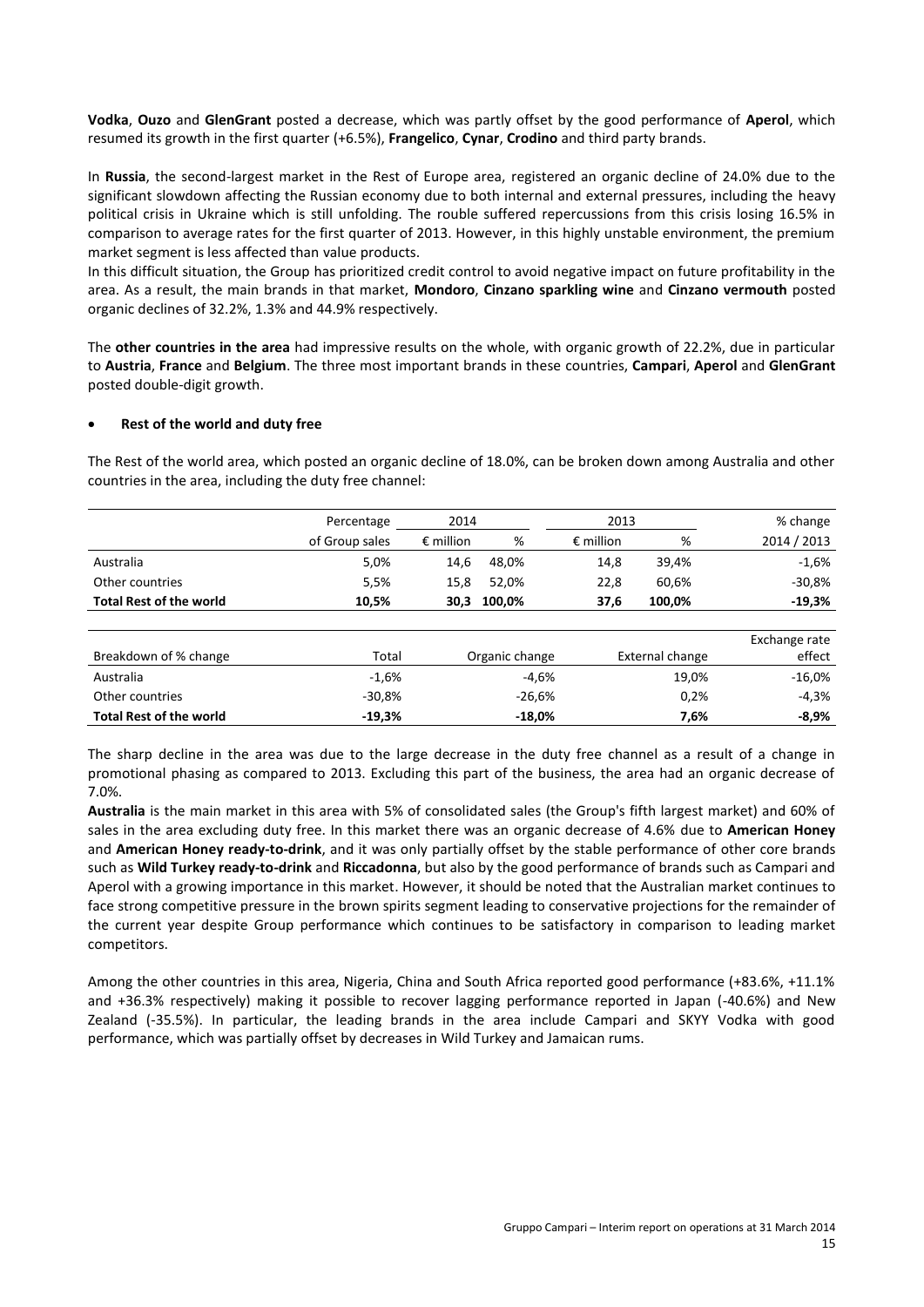**Vodka**, **Ouzo** and **GlenGrant** posted a decrease, which was partly offset by the good performance of **Aperol**, which resumed its growth in the first quarter (+6.5%), **Frangelico**, **Cynar**, **Crodino** and third party brands.

In **Russia**, the second-largest market in the Rest of Europe area, registered an organic decline of 24.0% due to the significant slowdown affecting the Russian economy due to both internal and external pressures, including the heavy political crisis in Ukraine which is still unfolding. The rouble suffered repercussions from this crisis losing 16.5% in comparison to average rates for the first quarter of 2013. However, in this highly unstable environment, the premium market segment is less affected than value products.

In this difficult situation, the Group has prioritized credit control to avoid negative impact on future profitability in the area. As a result, the main brands in that market, **Mondoro**, **Cinzano sparkling wine** and **Cinzano vermouth** posted organic declines of 32.2%, 1.3% and 44.9% respectively.

The **other countries in the area** had impressive results on the whole, with organic growth of 22.2%, due in particular to **Austria**, **France** and **Belgium**. The three most important brands in these countries, **Campari**, **Aperol** and **GlenGrant** posted double-digit growth.

#### **Rest of the world and duty free**

The Rest of the world area, which posted an organic decline of 18.0%, can be broken down among Australia and other countries in the area, including the duty free channel:

|                                | Percentage     | 2014               |        | 2013               |        | % change    |
|--------------------------------|----------------|--------------------|--------|--------------------|--------|-------------|
|                                | of Group sales | $\epsilon$ million | %      | $\epsilon$ million | %      | 2014 / 2013 |
| Australia                      | 5,0%           | 14.6               | 48.0%  | 14.8               | 39.4%  | $-1,6%$     |
| Other countries                | 5,5%           | 15.8               | 52.0%  | 22.8               | 60.6%  | $-30.8\%$   |
| <b>Total Rest of the world</b> | 10,5%          | 30,3               | 100,0% | 37.6               | 100.0% | $-19,3%$    |

| Breakdown of % change          | Total    | Organic change | External change | Exchange rate<br>effect |
|--------------------------------|----------|----------------|-----------------|-------------------------|
| Australia                      | $-1,6%$  | $-4.6%$        | 19,0%           | $-16,0\%$               |
| Other countries                | $-30.8%$ | $-26.6%$       | 0.2%            | $-4.3%$                 |
| <b>Total Rest of the world</b> | -19,3%   | $-18.0\%$      | 7.6%            | $-8,9%$                 |

The sharp decline in the area was due to the large decrease in the duty free channel as a result of a change in promotional phasing as compared to 2013. Excluding this part of the business, the area had an organic decrease of 7.0%.

**Australia** is the main market in this area with 5% of consolidated sales (the Group's fifth largest market) and 60% of sales in the area excluding duty free. In this market there was an organic decrease of 4.6% due to **American Honey** and **American Honey ready-to-drink**, and it was only partially offset by the stable performance of other core brands such as **Wild Turkey ready-to-drink** and **Riccadonna**, but also by the good performance of brands such as Campari and Aperol with a growing importance in this market. However, it should be noted that the Australian market continues to face strong competitive pressure in the brown spirits segment leading to conservative projections for the remainder of the current year despite Group performance which continues to be satisfactory in comparison to leading market competitors.

Among the other countries in this area, Nigeria, China and South Africa reported good performance (+83.6%, +11.1% and +36.3% respectively) making it possible to recover lagging performance reported in Japan (-40.6%) and New Zealand (-35.5%). In particular, the leading brands in the area include Campari and SKYY Vodka with good performance, which was partially offset by decreases in Wild Turkey and Jamaican rums.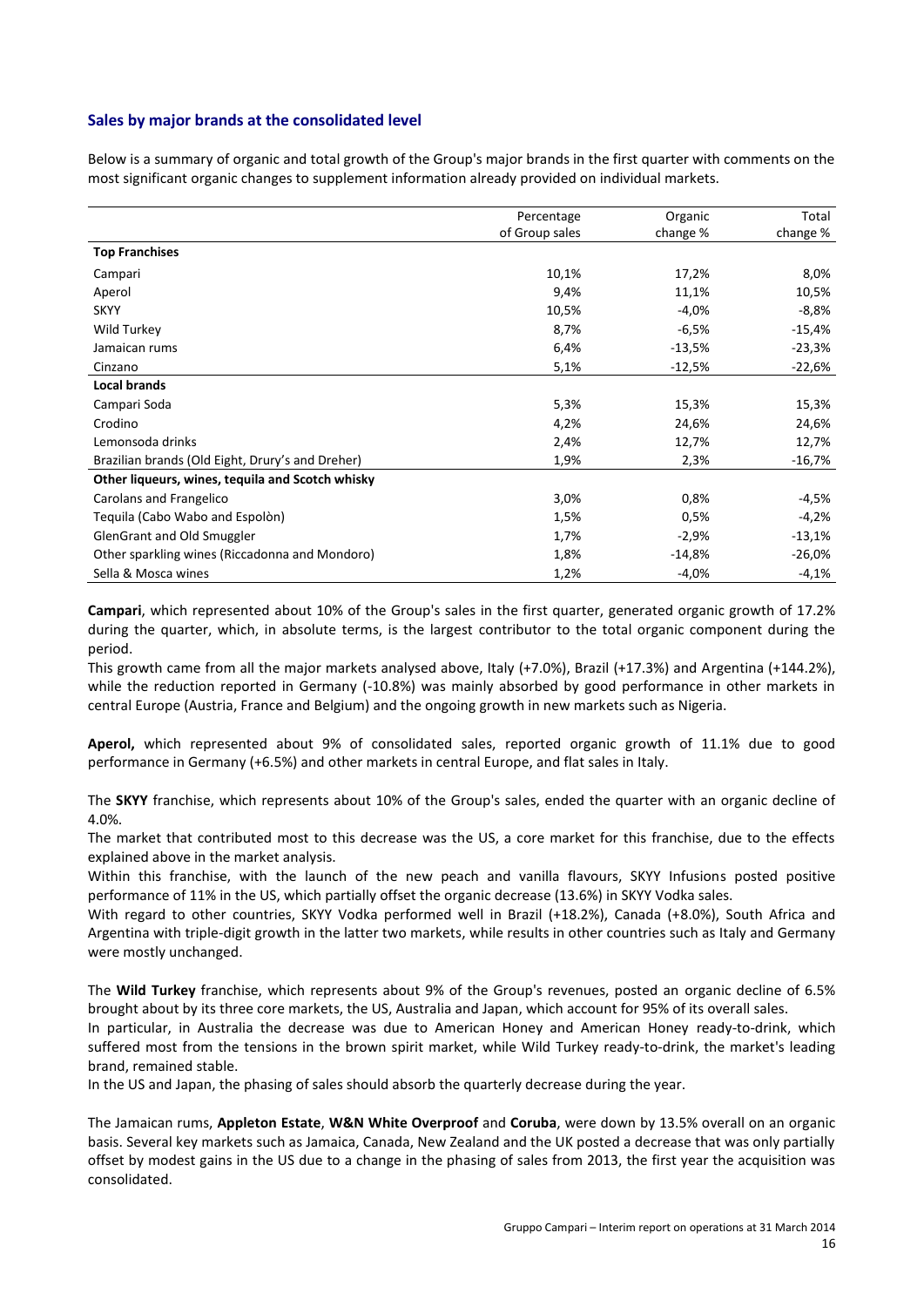#### **Sales by major brands at the consolidated level**

Below is a summary of organic and total growth of the Group's major brands in the first quarter with comments on the most significant organic changes to supplement information already provided on individual markets.

|                                                  | Percentage     | Organic  | Total    |
|--------------------------------------------------|----------------|----------|----------|
|                                                  | of Group sales | change % | change % |
| <b>Top Franchises</b>                            |                |          |          |
| Campari                                          | 10,1%          | 17,2%    | 8,0%     |
| Aperol                                           | 9,4%           | 11,1%    | 10,5%    |
| <b>SKYY</b>                                      | 10,5%          | $-4,0%$  | $-8,8%$  |
| Wild Turkey                                      | 8,7%           | $-6,5%$  | $-15,4%$ |
| Jamaican rums                                    | 6,4%           | $-13,5%$ | $-23,3%$ |
| Cinzano                                          | 5,1%           | $-12,5%$ | $-22,6%$ |
| <b>Local brands</b>                              |                |          |          |
| Campari Soda                                     | 5,3%           | 15,3%    | 15,3%    |
| Crodino                                          | 4,2%           | 24,6%    | 24,6%    |
| Lemonsoda drinks                                 | 2,4%           | 12,7%    | 12,7%    |
| Brazilian brands (Old Eight, Drury's and Dreher) | 1,9%           | 2,3%     | $-16,7%$ |
| Other liqueurs, wines, tequila and Scotch whisky |                |          |          |
| Carolans and Frangelico                          | 3,0%           | 0,8%     | -4,5%    |
| Tequila (Cabo Wabo and Espolòn)                  | 1,5%           | 0,5%     | -4,2%    |
| GlenGrant and Old Smuggler                       | 1,7%           | $-2,9%$  | $-13,1%$ |
| Other sparkling wines (Riccadonna and Mondoro)   | 1,8%           | $-14,8%$ | $-26,0%$ |
| Sella & Mosca wines                              | 1,2%           | $-4,0%$  | $-4,1%$  |

**Campari**, which represented about 10% of the Group's sales in the first quarter, generated organic growth of 17.2% during the quarter, which, in absolute terms, is the largest contributor to the total organic component during the period.

This growth came from all the major markets analysed above, Italy (+7.0%), Brazil (+17.3%) and Argentina (+144.2%), while the reduction reported in Germany (-10.8%) was mainly absorbed by good performance in other markets in central Europe (Austria, France and Belgium) and the ongoing growth in new markets such as Nigeria.

**Aperol,** which represented about 9% of consolidated sales, reported organic growth of 11.1% due to good performance in Germany (+6.5%) and other markets in central Europe, and flat sales in Italy.

The **SKYY** franchise, which represents about 10% of the Group's sales, ended the quarter with an organic decline of 4.0%.

The market that contributed most to this decrease was the US, a core market for this franchise, due to the effects explained above in the market analysis.

Within this franchise, with the launch of the new peach and vanilla flavours, SKYY Infusions posted positive performance of 11% in the US, which partially offset the organic decrease (13.6%) in SKYY Vodka sales.

With regard to other countries, SKYY Vodka performed well in Brazil (+18.2%), Canada (+8.0%), South Africa and Argentina with triple-digit growth in the latter two markets, while results in other countries such as Italy and Germany were mostly unchanged.

The **Wild Turkey** franchise, which represents about 9% of the Group's revenues, posted an organic decline of 6.5% brought about by its three core markets, the US, Australia and Japan, which account for 95% of its overall sales.

In particular, in Australia the decrease was due to American Honey and American Honey ready-to-drink, which suffered most from the tensions in the brown spirit market, while Wild Turkey ready-to-drink, the market's leading brand, remained stable.

In the US and Japan, the phasing of sales should absorb the quarterly decrease during the year.

The Jamaican rums, **Appleton Estate**, **W&N White Overproof** and **Coruba**, were down by 13.5% overall on an organic basis. Several key markets such as Jamaica, Canada, New Zealand and the UK posted a decrease that was only partially offset by modest gains in the US due to a change in the phasing of sales from 2013, the first year the acquisition was consolidated.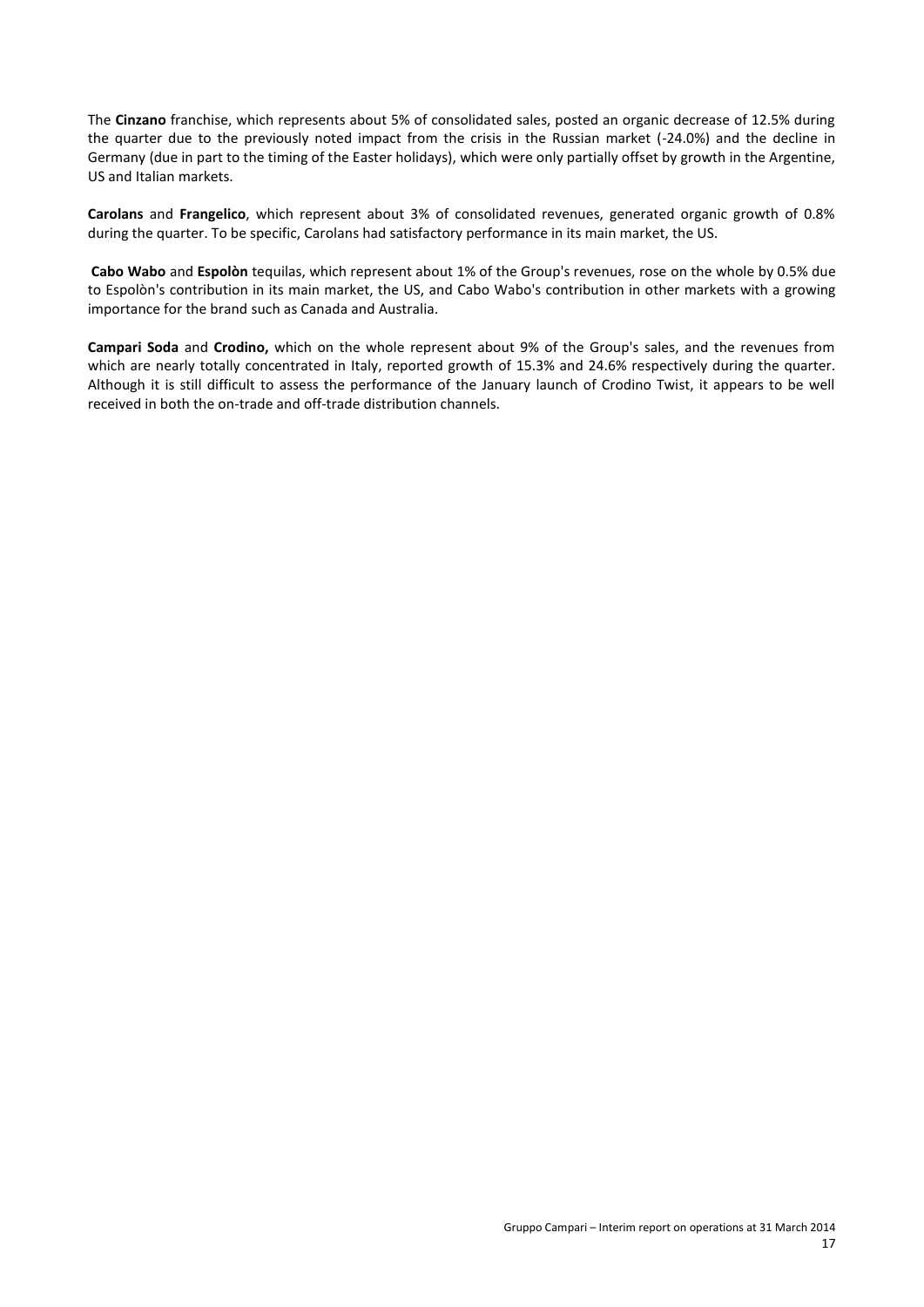The **Cinzano** franchise, which represents about 5% of consolidated sales, posted an organic decrease of 12.5% during the quarter due to the previously noted impact from the crisis in the Russian market (-24.0%) and the decline in Germany (due in part to the timing of the Easter holidays), which were only partially offset by growth in the Argentine, US and Italian markets.

**Carolans** and **Frangelico**, which represent about 3% of consolidated revenues, generated organic growth of 0.8% during the quarter. To be specific, Carolans had satisfactory performance in its main market, the US.

**Cabo Wabo** and **Espolòn** tequilas, which represent about 1% of the Group's revenues, rose on the whole by 0.5% due to Espolòn's contribution in its main market, the US, and Cabo Wabo's contribution in other markets with a growing importance for the brand such as Canada and Australia.

**Campari Soda** and **Crodino,** which on the whole represent about 9% of the Group's sales, and the revenues from which are nearly totally concentrated in Italy, reported growth of 15.3% and 24.6% respectively during the quarter. Although it is still difficult to assess the performance of the January launch of Crodino Twist, it appears to be well received in both the on-trade and off-trade distribution channels.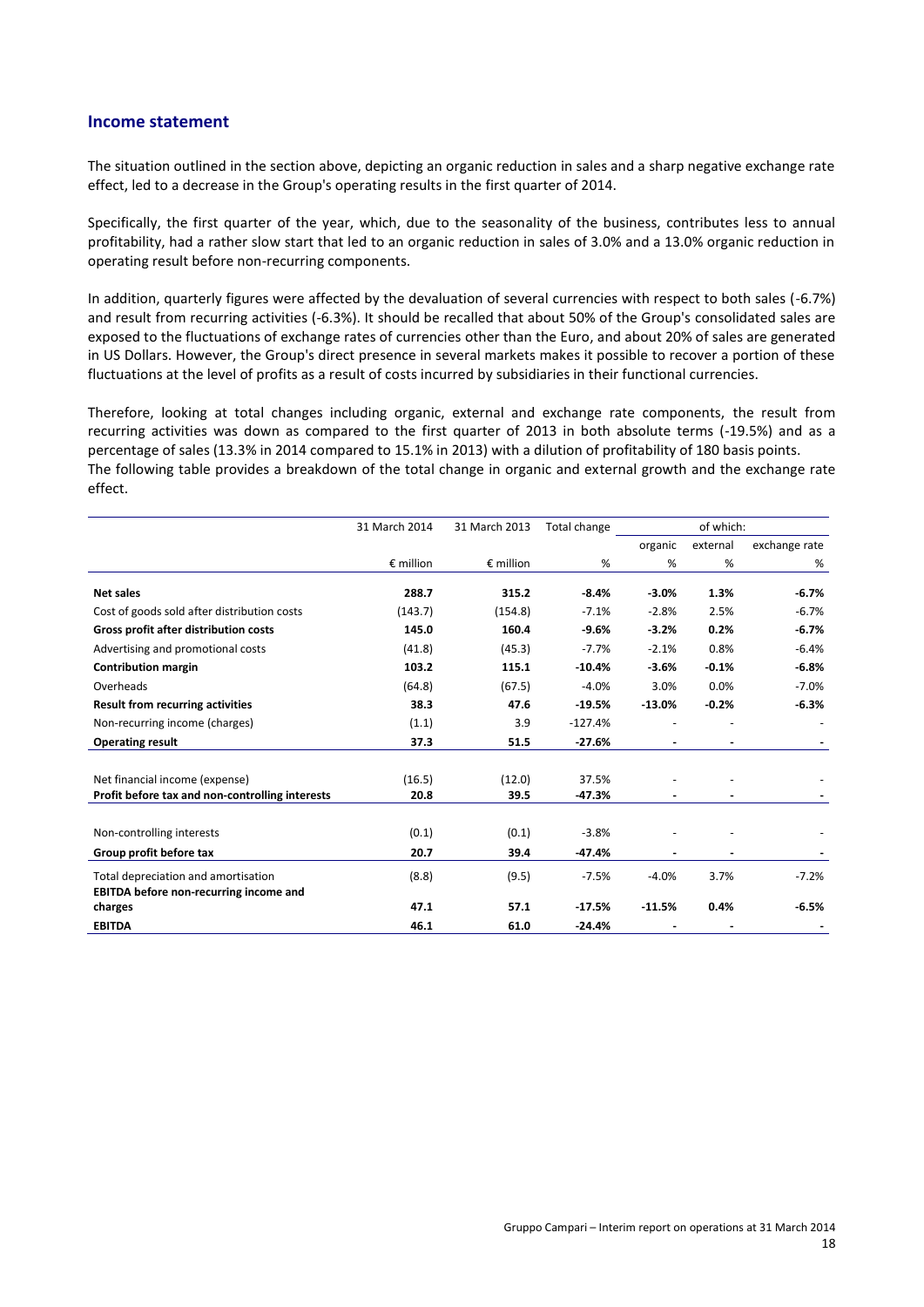#### **Income statement**

The situation outlined in the section above, depicting an organic reduction in sales and a sharp negative exchange rate effect, led to a decrease in the Group's operating results in the first quarter of 2014.

Specifically, the first quarter of the year, which, due to the seasonality of the business, contributes less to annual profitability, had a rather slow start that led to an organic reduction in sales of 3.0% and a 13.0% organic reduction in operating result before non-recurring components.

In addition, quarterly figures were affected by the devaluation of several currencies with respect to both sales (-6.7%) and result from recurring activities (-6.3%). It should be recalled that about 50% of the Group's consolidated sales are exposed to the fluctuations of exchange rates of currencies other than the Euro, and about 20% of sales are generated in US Dollars. However, the Group's direct presence in several markets makes it possible to recover a portion of these fluctuations at the level of profits as a result of costs incurred by subsidiaries in their functional currencies.

Therefore, looking at total changes including organic, external and exchange rate components, the result from recurring activities was down as compared to the first quarter of 2013 in both absolute terms (-19.5%) and as a percentage of sales (13.3% in 2014 compared to 15.1% in 2013) with a dilution of profitability of 180 basis points. The following table provides a breakdown of the total change in organic and external growth and the exchange rate effect.

|                                                 | 31 March 2014      | 31 March 2013      | Total change | of which: |          |               |
|-------------------------------------------------|--------------------|--------------------|--------------|-----------|----------|---------------|
|                                                 |                    |                    |              | organic   | external | exchange rate |
|                                                 | $\epsilon$ million | $\epsilon$ million | %            | %         | %        | %             |
| Net sales                                       | 288.7              | 315.2              | $-8.4%$      | $-3.0%$   | 1.3%     | $-6.7%$       |
| Cost of goods sold after distribution costs     | (143.7)            | (154.8)            | $-7.1%$      | $-2.8%$   | 2.5%     | $-6.7%$       |
| Gross profit after distribution costs           | 145.0              | 160.4              | $-9.6%$      | $-3.2%$   | 0.2%     | $-6.7%$       |
| Advertising and promotional costs               | (41.8)             | (45.3)             | $-7.7%$      | $-2.1%$   | 0.8%     | $-6.4%$       |
| <b>Contribution margin</b>                      | 103.2              | 115.1              | $-10.4%$     | $-3.6%$   | $-0.1%$  | $-6.8%$       |
| Overheads                                       | (64.8)             | (67.5)             | $-4.0%$      | 3.0%      | 0.0%     | $-7.0%$       |
| <b>Result from recurring activities</b>         | 38.3               | 47.6               | $-19.5%$     | $-13.0%$  | $-0.2%$  | $-6.3%$       |
| Non-recurring income (charges)                  | (1.1)              | 3.9                | $-127.4%$    |           |          |               |
| <b>Operating result</b>                         | 37.3               | 51.5               | $-27.6%$     |           |          |               |
|                                                 |                    |                    |              |           |          |               |
| Net financial income (expense)                  | (16.5)             | (12.0)             | 37.5%        |           |          |               |
| Profit before tax and non-controlling interests | 20.8               | 39.5               | $-47.3%$     |           |          |               |
|                                                 |                    |                    |              |           |          |               |
| Non-controlling interests                       | (0.1)              | (0.1)              | $-3.8%$      |           |          |               |
| Group profit before tax                         | 20.7               | 39.4               | $-47.4%$     |           |          |               |
| Total depreciation and amortisation             | (8.8)              | (9.5)              | $-7.5%$      | $-4.0%$   | 3.7%     | $-7.2%$       |
| <b>EBITDA before non-recurring income and</b>   |                    |                    |              |           |          |               |
| charges                                         | 47.1               | 57.1               | $-17.5%$     | $-11.5%$  | 0.4%     | $-6.5%$       |
| <b>EBITDA</b>                                   | 46.1               | 61.0               | $-24.4%$     |           |          |               |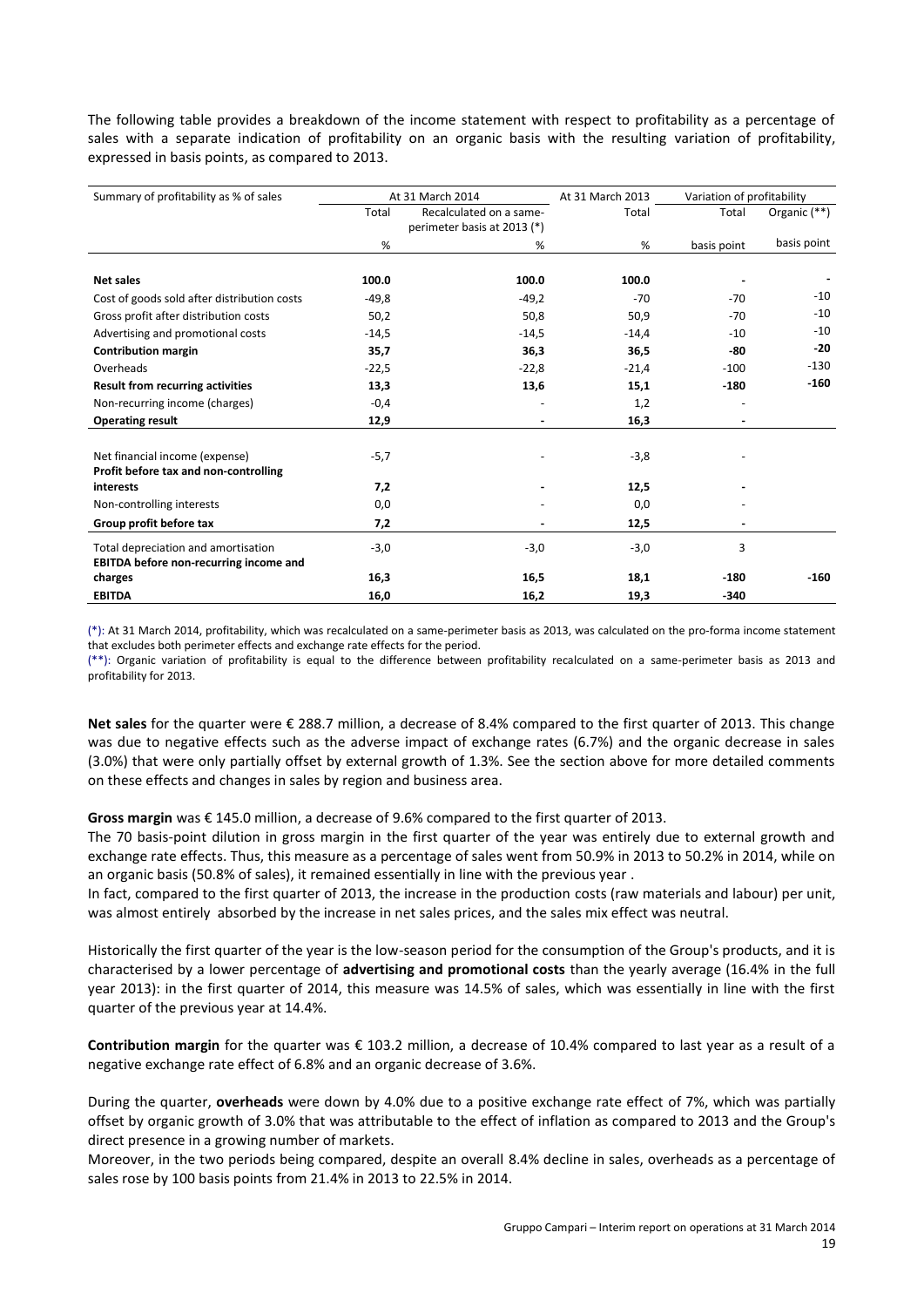The following table provides a breakdown of the income statement with respect to profitability as a percentage of sales with a separate indication of profitability on an organic basis with the resulting variation of profitability, expressed in basis points, as compared to 2013.

| Summary of profitability as % of sales                                               | At 31 March 2014            |                         | At 31 March 2013 | Variation of profitability |              |
|--------------------------------------------------------------------------------------|-----------------------------|-------------------------|------------------|----------------------------|--------------|
|                                                                                      | Total                       | Recalculated on a same- | Total            | Total                      | Organic (**) |
|                                                                                      | perimeter basis at 2013 (*) |                         |                  |                            |              |
|                                                                                      | %                           | %                       | %                | basis point                | basis point  |
| <b>Net sales</b>                                                                     | 100.0                       | 100.0                   | 100.0            |                            |              |
| Cost of goods sold after distribution costs                                          | $-49,8$                     | $-49,2$                 | $-70$            | $-70$                      | $-10$        |
| Gross profit after distribution costs                                                | 50,2                        | 50,8                    | 50,9             | $-70$                      | $-10$        |
| Advertising and promotional costs                                                    | $-14,5$                     | $-14,5$                 | $-14,4$          | $-10$                      | $-10$        |
| <b>Contribution margin</b>                                                           | 35,7                        | 36,3                    | 36,5             | -80                        | $-20$        |
| Overheads                                                                            | $-22,5$                     | $-22,8$                 | $-21,4$          | $-100$                     | $-130$       |
| <b>Result from recurring activities</b>                                              | 13,3                        | 13,6                    | 15,1             | $-180$                     | $-160$       |
| Non-recurring income (charges)                                                       | $-0,4$                      |                         | 1,2              |                            |              |
| <b>Operating result</b>                                                              | 12,9                        |                         | 16,3             |                            |              |
| Net financial income (expense)<br>Profit before tax and non-controlling              | $-5,7$                      |                         | $-3,8$           |                            |              |
| interests                                                                            | 7,2                         |                         | 12,5             |                            |              |
| Non-controlling interests                                                            | 0,0                         |                         | 0,0              |                            |              |
| Group profit before tax                                                              | 7,2                         |                         | 12,5             | $\blacksquare$             |              |
| Total depreciation and amortisation<br><b>EBITDA</b> before non-recurring income and | $-3,0$                      | $-3,0$                  | $-3,0$           | 3                          |              |
| charges                                                                              | 16,3                        | 16,5                    | 18,1             | $-180$                     | $-160$       |
| <b>EBITDA</b>                                                                        | 16,0                        | 16,2                    | 19,3             | $-340$                     |              |

(\*): At 31 March 2014, profitability, which was recalculated on a same-perimeter basis as 2013, was calculated on the pro-forma income statement that excludes both perimeter effects and exchange rate effects for the period.

(\*\*): Organic variation of profitability is equal to the difference between profitability recalculated on a same-perimeter basis as 2013 and profitability for 2013.

**Net sales** for the quarter were € 288.7 million, a decrease of 8.4% compared to the first quarter of 2013. This change was due to negative effects such as the adverse impact of exchange rates (6.7%) and the organic decrease in sales (3.0%) that were only partially offset by external growth of 1.3%. See the section above for more detailed comments on these effects and changes in sales by region and business area.

**Gross margin** was € 145.0 million, a decrease of 9.6% compared to the first quarter of 2013.

The 70 basis-point dilution in gross margin in the first quarter of the year was entirely due to external growth and exchange rate effects. Thus, this measure as a percentage of sales went from 50.9% in 2013 to 50.2% in 2014, while on an organic basis (50.8% of sales), it remained essentially in line with the previous year .

In fact, compared to the first quarter of 2013, the increase in the production costs (raw materials and labour) per unit, was almost entirely absorbed by the increase in net sales prices, and the sales mix effect was neutral.

Historically the first quarter of the year is the low-season period for the consumption of the Group's products, and it is characterised by a lower percentage of **advertising and promotional costs** than the yearly average (16.4% in the full year 2013): in the first quarter of 2014, this measure was 14.5% of sales, which was essentially in line with the first quarter of the previous year at 14.4%.

**Contribution margin** for the quarter was € 103.2 million, a decrease of 10.4% compared to last year as a result of a negative exchange rate effect of 6.8% and an organic decrease of 3.6%.

During the quarter, **overheads** were down by 4.0% due to a positive exchange rate effect of 7%, which was partially offset by organic growth of 3.0% that was attributable to the effect of inflation as compared to 2013 and the Group's direct presence in a growing number of markets.

Moreover, in the two periods being compared, despite an overall 8.4% decline in sales, overheads as a percentage of sales rose by 100 basis points from 21.4% in 2013 to 22.5% in 2014.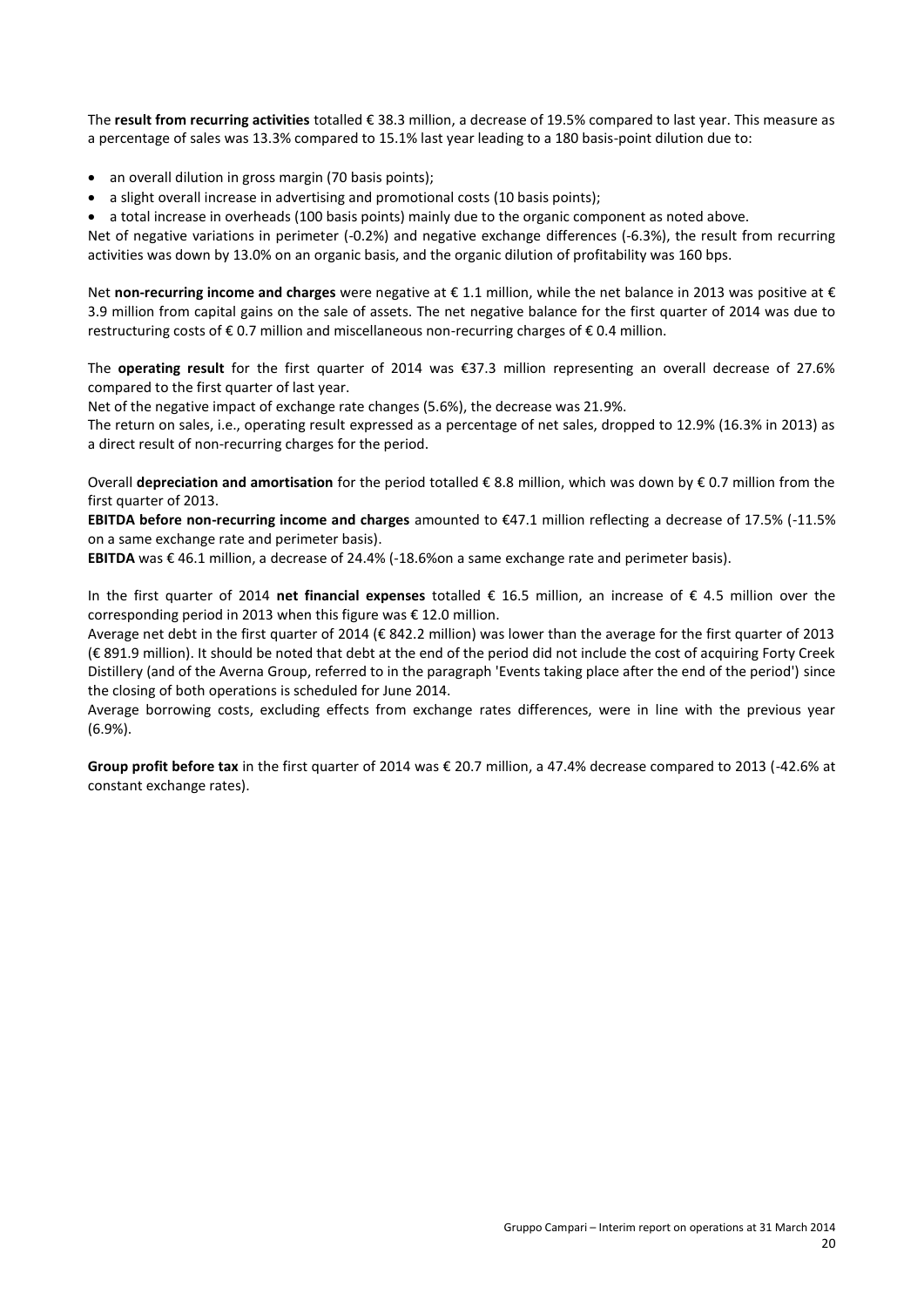The **result from recurring activities** totalled € 38.3 million, a decrease of 19.5% compared to last year. This measure as a percentage of sales was 13.3% compared to 15.1% last year leading to a 180 basis-point dilution due to:

- an overall dilution in gross margin (70 basis points);
- a slight overall increase in advertising and promotional costs (10 basis points);

a total increase in overheads (100 basis points) mainly due to the organic component as noted above.

Net of negative variations in perimeter (-0.2%) and negative exchange differences (-6.3%), the result from recurring activities was down by 13.0% on an organic basis, and the organic dilution of profitability was 160 bps.

Net **non-recurring income and charges** were negative at € 1.1 million, while the net balance in 2013 was positive at € 3.9 million from capital gains on the sale of assets. The net negative balance for the first quarter of 2014 was due to restructuring costs of € 0.7 million and miscellaneous non-recurring charges of € 0.4 million.

The **operating result** for the first quarter of 2014 was €37.3 million representing an overall decrease of 27.6% compared to the first quarter of last year.

Net of the negative impact of exchange rate changes (5.6%), the decrease was 21.9%.

The return on sales, i.e., operating result expressed as a percentage of net sales, dropped to 12.9% (16.3% in 2013) as a direct result of non-recurring charges for the period.

Overall **depreciation and amortisation** for the period totalled € 8.8 million, which was down by € 0.7 million from the first quarter of 2013.

**EBITDA before non-recurring income and charges** amounted to €47.1 million reflecting a decrease of 17.5% (-11.5% on a same exchange rate and perimeter basis).

**EBITDA** was € 46.1 million, a decrease of 24.4% (-18.6%on a same exchange rate and perimeter basis).

In the first quarter of 2014 **net financial expenses** totalled € 16.5 million, an increase of € 4.5 million over the corresponding period in 2013 when this figure was € 12.0 million.

Average net debt in the first quarter of 2014 (€ 842.2 million) was lower than the average for the first quarter of 2013 (€ 891.9 million). It should be noted that debt at the end of the period did not include the cost of acquiring Forty Creek Distillery (and of the Averna Group, referred to in the paragraph 'Events taking place after the end of the period') since the closing of both operations is scheduled for June 2014.

Average borrowing costs, excluding effects from exchange rates differences, were in line with the previous year (6.9%).

**Group profit before tax** in the first quarter of 2014 was € 20.7 million, a 47.4% decrease compared to 2013 (-42.6% at constant exchange rates).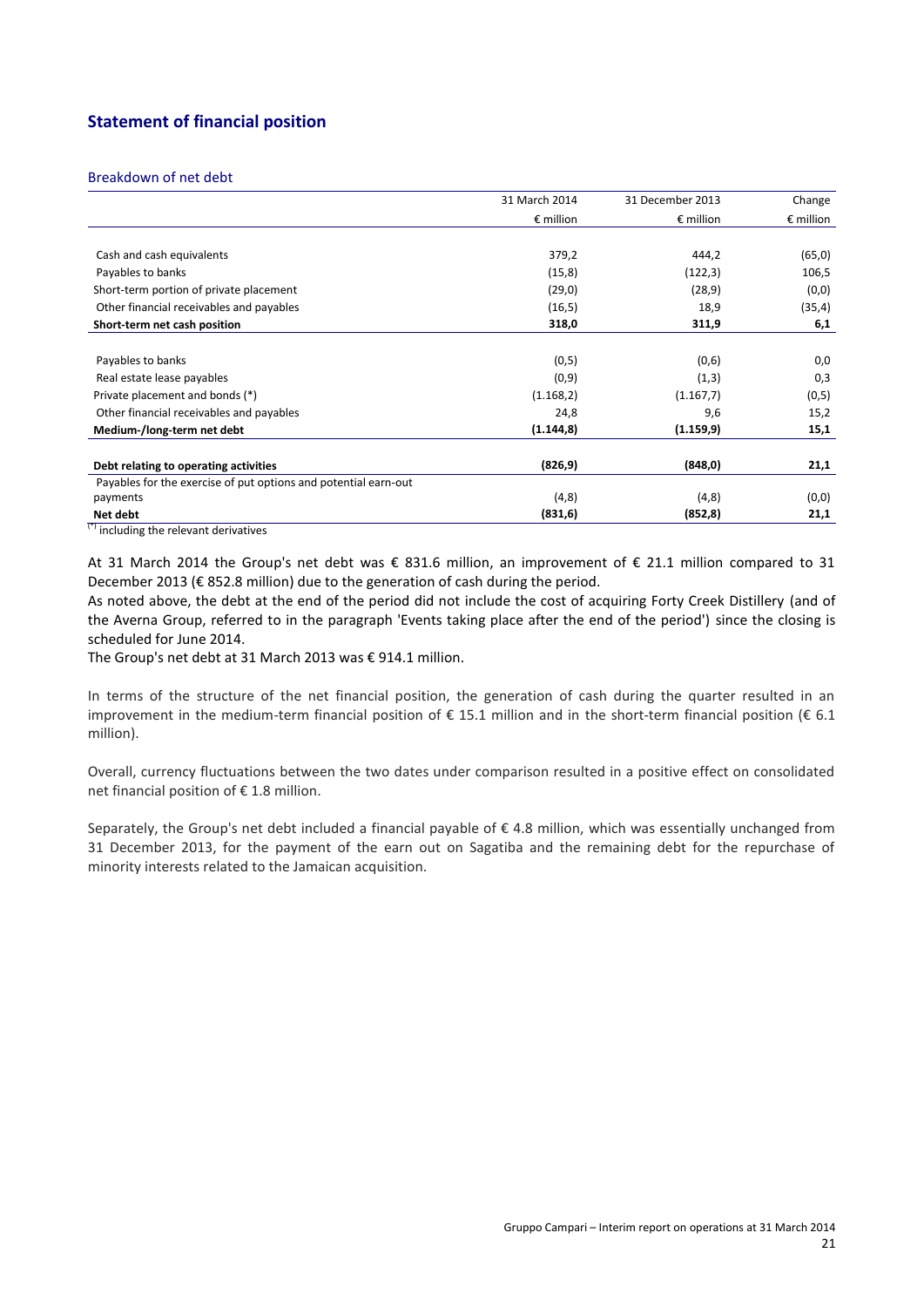# **Statement of financial position**

#### Breakdown of net debt

|                                                                 | 31 March 2014      | 31 December 2013   | Change             |
|-----------------------------------------------------------------|--------------------|--------------------|--------------------|
|                                                                 | $\epsilon$ million | $\epsilon$ million | $\epsilon$ million |
|                                                                 |                    |                    |                    |
| Cash and cash equivalents                                       | 379,2              | 444,2              | (65, 0)            |
| Payables to banks                                               | (15,8)             | (122,3)            | 106,5              |
| Short-term portion of private placement                         | (29,0)             | (28, 9)            | (0,0)              |
| Other financial receivables and payables                        | (16, 5)            | 18,9               | (35, 4)            |
| Short-term net cash position                                    | 318,0              | 311,9              | 6,1                |
|                                                                 |                    |                    |                    |
| Payables to banks                                               | (0,5)              | (0,6)              | 0,0                |
| Real estate lease payables                                      | (0,9)              | (1,3)              | 0,3                |
| Private placement and bonds (*)                                 | (1.168,2)          | (1.167, 7)         | (0,5)              |
| Other financial receivables and payables                        | 24,8               | 9,6                | 15,2               |
| Medium-/long-term net debt                                      | (1.144, 8)         | (1.159, 9)         | 15,1               |
|                                                                 |                    |                    |                    |
| Debt relating to operating activities                           | (826, 9)           | (848, 0)           | 21,1               |
| Payables for the exercise of put options and potential earn-out |                    |                    |                    |
| payments                                                        | (4, 8)             | (4, 8)             | (0,0)              |
| Net debt                                                        | (831, 6)           | (852, 8)           | 21,1               |

(\*) including the relevant derivatives

At 31 March 2014 the Group's net debt was € 831.6 million, an improvement of € 21.1 million compared to 31 December 2013 (€ 852.8 million) due to the generation of cash during the period.

As noted above, the debt at the end of the period did not include the cost of acquiring Forty Creek Distillery (and of the Averna Group, referred to in the paragraph 'Events taking place after the end of the period') since the closing is scheduled for June 2014.

The Group's net debt at 31 March 2013 was € 914.1 million.

In terms of the structure of the net financial position, the generation of cash during the quarter resulted in an improvement in the medium-term financial position of  $\epsilon$  15.1 million and in the short-term financial position ( $\epsilon$  6.1 million).

Overall, currency fluctuations between the two dates under comparison resulted in a positive effect on consolidated net financial position of € 1.8 million.

Separately, the Group's net debt included a financial payable of € 4.8 million, which was essentially unchanged from 31 December 2013, for the payment of the earn out on Sagatiba and the remaining debt for the repurchase of minority interests related to the Jamaican acquisition.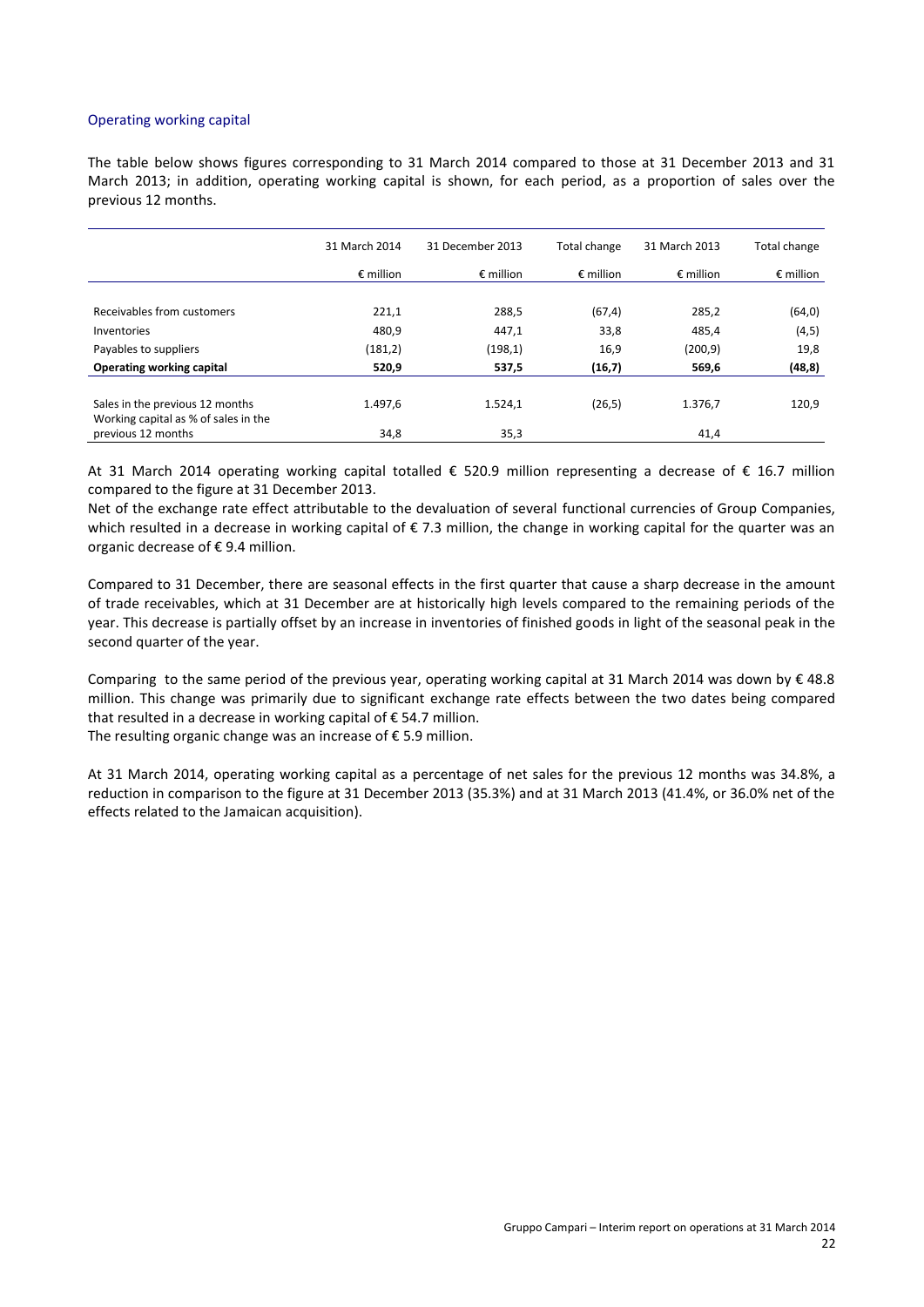#### Operating working capital

The table below shows figures corresponding to 31 March 2014 compared to those at 31 December 2013 and 31 March 2013; in addition, operating working capital is shown, for each period, as a proportion of sales over the previous 12 months.

|                                      | 31 March 2014      | 31 December 2013   | Total change       | 31 March 2013      | Total change       |
|--------------------------------------|--------------------|--------------------|--------------------|--------------------|--------------------|
|                                      | $\epsilon$ million | $\epsilon$ million | $\epsilon$ million | $\epsilon$ million | $\epsilon$ million |
|                                      |                    |                    |                    |                    |                    |
| Receivables from customers           | 221,1              | 288,5              | (67, 4)            | 285,2              | (64, 0)            |
| Inventories                          | 480,9              | 447,1              | 33,8               | 485,4              | (4, 5)             |
| Payables to suppliers                | (181, 2)           | (198,1)            | 16,9               | (200, 9)           | 19,8               |
| Operating working capital            | 520,9              | 537,5              | (16,7)             | 569,6              | (48, 8)            |
|                                      |                    |                    |                    |                    |                    |
| Sales in the previous 12 months      | 1.497,6            | 1.524,1            | (26, 5)            | 1.376,7            | 120,9              |
| Working capital as % of sales in the |                    |                    |                    |                    |                    |
| previous 12 months                   | 34,8               | 35,3               |                    | 41,4               |                    |

At 31 March 2014 operating working capital totalled € 520.9 million representing a decrease of € 16.7 million compared to the figure at 31 December 2013.

Net of the exchange rate effect attributable to the devaluation of several functional currencies of Group Companies, which resulted in a decrease in working capital of €7.3 million, the change in working capital for the quarter was an organic decrease of  $\epsilon$  9.4 million.

Compared to 31 December, there are seasonal effects in the first quarter that cause a sharp decrease in the amount of trade receivables, which at 31 December are at historically high levels compared to the remaining periods of the year. This decrease is partially offset by an increase in inventories of finished goods in light of the seasonal peak in the second quarter of the year.

Comparing to the same period of the previous year, operating working capital at 31 March 2014 was down by  $\epsilon$  48.8 million. This change was primarily due to significant exchange rate effects between the two dates being compared that resulted in a decrease in working capital of € 54.7 million.

The resulting organic change was an increase of  $\epsilon$  5.9 million.

At 31 March 2014, operating working capital as a percentage of net sales for the previous 12 months was 34.8%, a reduction in comparison to the figure at 31 December 2013 (35.3%) and at 31 March 2013 (41.4%, or 36.0% net of the effects related to the Jamaican acquisition).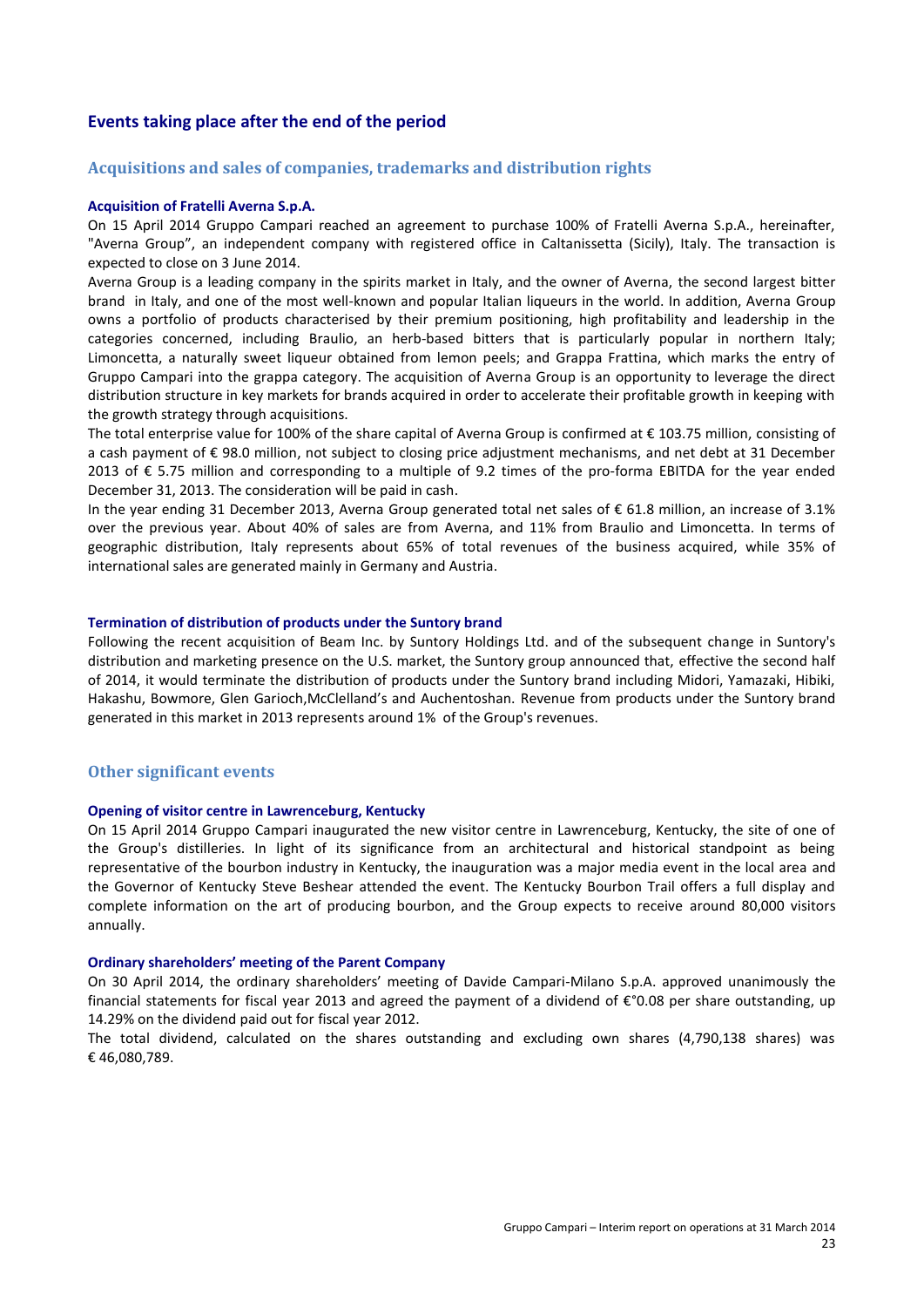## **Events taking place after the end of the period**

#### **Acquisitions and sales of companies, trademarks and distribution rights**

#### **Acquisition of Fratelli Averna S.p.A.**

On 15 April 2014 Gruppo Campari reached an agreement to purchase 100% of Fratelli Averna S.p.A., hereinafter, "Averna Group", an independent company with registered office in Caltanissetta (Sicily), Italy. The transaction is expected to close on 3 June 2014.

Averna Group is a leading company in the spirits market in Italy, and the owner of Averna, the second largest bitter brand in Italy, and one of the most well-known and popular Italian liqueurs in the world. In addition, Averna Group owns a portfolio of products characterised by their premium positioning, high profitability and leadership in the categories concerned, including Braulio, an herb-based bitters that is particularly popular in northern Italy; Limoncetta, a naturally sweet liqueur obtained from lemon peels; and Grappa Frattina, which marks the entry of Gruppo Campari into the grappa category. The acquisition of Averna Group is an opportunity to leverage the direct distribution structure in key markets for brands acquired in order to accelerate their profitable growth in keeping with the growth strategy through acquisitions.

The total enterprise value for 100% of the share capital of Averna Group is confirmed at € 103.75 million, consisting of a cash payment of € 98.0 million, not subject to closing price adjustment mechanisms, and net debt at 31 December 2013 of € 5.75 million and corresponding to a multiple of 9.2 times of the pro-forma EBITDA for the year ended December 31, 2013. The consideration will be paid in cash.

In the year ending 31 December 2013, Averna Group generated total net sales of € 61.8 million, an increase of 3.1% over the previous year. About 40% of sales are from Averna, and 11% from Braulio and Limoncetta. In terms of geographic distribution, Italy represents about 65% of total revenues of the business acquired, while 35% of international sales are generated mainly in Germany and Austria.

#### **Termination of distribution of products under the Suntory brand**

Following the recent acquisition of Beam Inc. by Suntory Holdings Ltd. and of the subsequent change in Suntory's distribution and marketing presence on the U.S. market, the Suntory group announced that, effective the second half of 2014, it would terminate the distribution of products under the Suntory brand including Midori, Yamazaki, Hibiki, Hakashu, Bowmore, Glen Garioch,McClelland's and Auchentoshan. Revenue from products under the Suntory brand generated in this market in 2013 represents around 1% of the Group's revenues.

#### **Other significant events**

#### **Opening of visitor centre in Lawrenceburg, Kentucky**

On 15 April 2014 Gruppo Campari inaugurated the new visitor centre in Lawrenceburg, Kentucky, the site of one of the Group's distilleries. In light of its significance from an architectural and historical standpoint as being representative of the bourbon industry in Kentucky, the inauguration was a major media event in the local area and the Governor of Kentucky Steve Beshear attended the event. The Kentucky Bourbon Trail offers a full display and complete information on the art of producing bourbon, and the Group expects to receive around 80,000 visitors annually.

#### **Ordinary shareholders' meeting of the Parent Company**

On 30 April 2014, the ordinary shareholders' meeting of Davide Campari-Milano S.p.A. approved unanimously the financial statements for fiscal year 2013 and agreed the payment of a dividend of €°0.08 per share outstanding, up 14.29% on the dividend paid out for fiscal year 2012.

The total dividend, calculated on the shares outstanding and excluding own shares (4,790,138 shares) was € 46,080,789.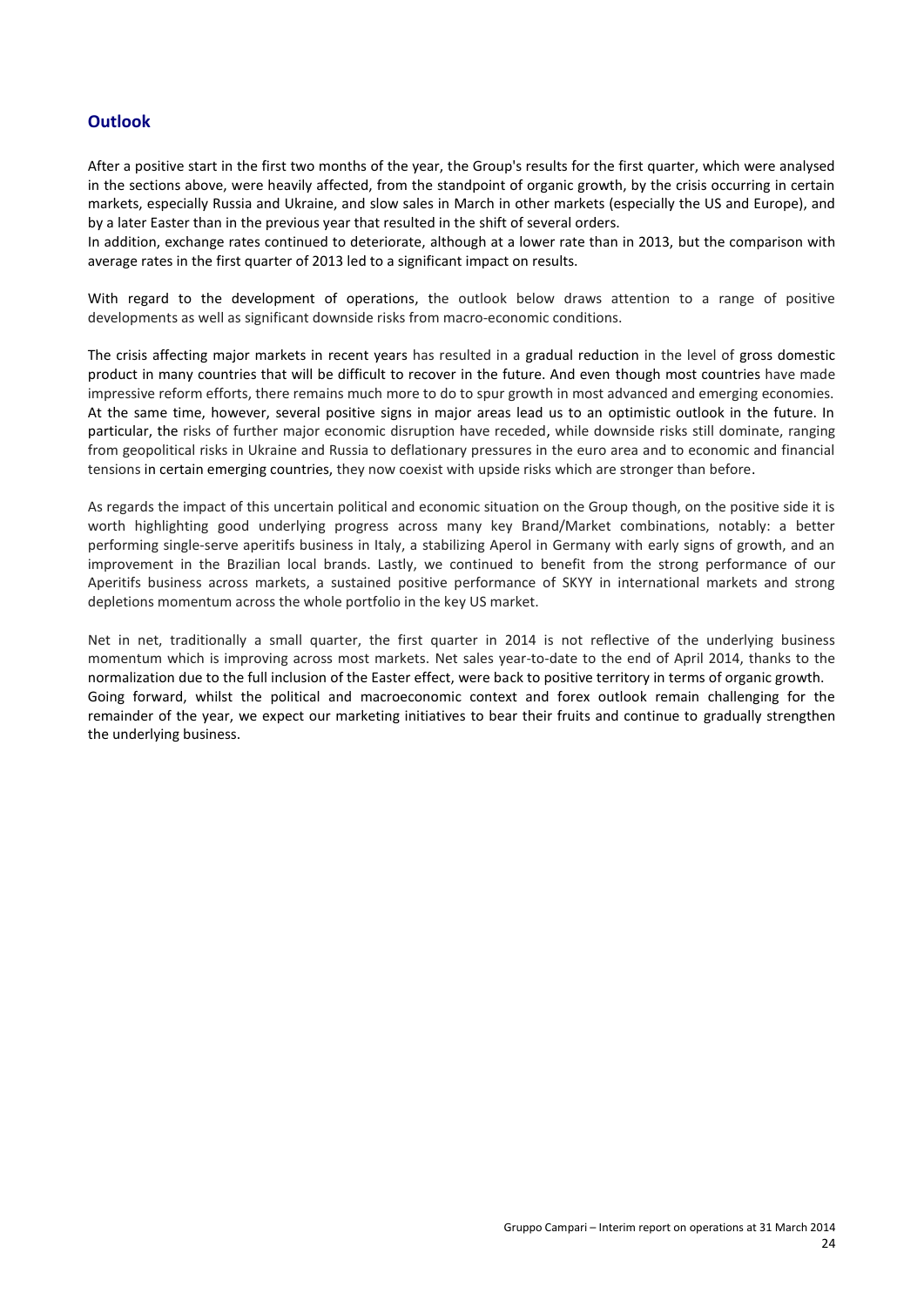# **Outlook**

After a positive start in the first two months of the year, the Group's results for the first quarter, which were analysed in the sections above, were heavily affected, from the standpoint of organic growth, by the crisis occurring in certain markets, especially Russia and Ukraine, and slow sales in March in other markets (especially the US and Europe), and by a later Easter than in the previous year that resulted in the shift of several orders.

In addition, exchange rates continued to deteriorate, although at a lower rate than in 2013, but the comparison with average rates in the first quarter of 2013 led to a significant impact on results.

With regard to the development of operations, the outlook below draws attention to a range of positive developments as well as significant downside risks from macro-economic conditions.

The crisis affecting major markets in recent years has resulted in a gradual reduction in the level of gross domestic product in many countries that will be difficult to recover in the future. And even though most countries have made impressive reform efforts, there remains much more to do to spur growth in most advanced and emerging economies. At the same time, however, several positive signs in major areas lead us to an optimistic outlook in the future. In particular, the risks of further major economic disruption have receded, while downside risks still dominate, ranging from geopolitical risks in Ukraine and Russia to deflationary pressures in the euro area and to economic and financial tensions in certain emerging countries, they now coexist with upside risks which are stronger than before.

As regards the impact of this uncertain political and economic situation on the Group though, on the positive side it is worth highlighting good underlying progress across many key Brand/Market combinations, notably: a better performing single-serve aperitifs business in Italy, a stabilizing Aperol in Germany with early signs of growth, and an improvement in the Brazilian local brands. Lastly, we continued to benefit from the strong performance of our Aperitifs business across markets, a sustained positive performance of SKYY in international markets and strong depletions momentum across the whole portfolio in the key US market.

Net in net, traditionally a small quarter, the first quarter in 2014 is not reflective of the underlying business momentum which is improving across most markets. Net sales year-to-date to the end of April 2014, thanks to the normalization due to the full inclusion of the Easter effect, were back to positive territory in terms of organic growth. Going forward, whilst the political and macroeconomic context and forex outlook remain challenging for the remainder of the year, we expect our marketing initiatives to bear their fruits and continue to gradually strengthen the underlying business.